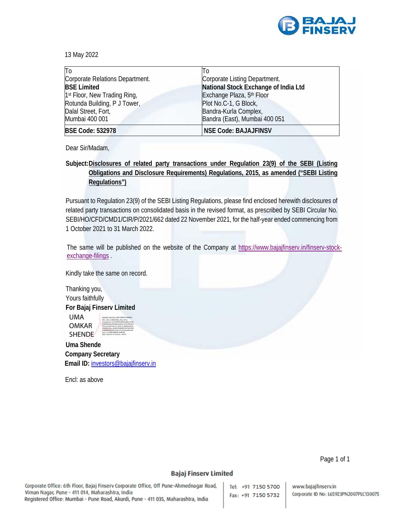

13 May 2022

| T <sub>0</sub>                           | 10                                    |
|------------------------------------------|---------------------------------------|
| Corporate Relations Department.          | Corporate Listing Department.         |
| <b>BSE Limited</b>                       | National Stock Exchange of India Ltd  |
| 1 <sup>st</sup> Floor, New Trading Ring, | Exchange Plaza, 5 <sup>th</sup> Floor |
| Rotunda Building, P J Tower,             | Plot No.C-1, G Block,                 |
| Dalal Street, Fort,                      | Bandra-Kurla Complex,                 |
| Mumbai 400 001                           | Bandra (East), Mumbai 400 051         |
| <b>BSE Code: 532978</b>                  | <b>NSE Code: BAJAJFINSV</b>           |

Dear Sir/Madam,

**Subject: Disclosures of related party transactions under Regulation 23(9) of the SEBI (Listing Obligations and Disclosure Requirements) Regulations, 2015, as amended ("SEBI Listing Regulations")**

Pursuant to Regulation 23(9) of the SEBI Listing Regulations, please find enclosed herewith disclosures of related party transactions on consolidated basis in the revised format, as prescribed by SEBI Circular No. SEBI/HO/CFD/CMD1/CIR/P/2021/662 dated 22 November 2021, for the half-year ended commencing from 1 October 2021 to 31 March 2022.

The same will be published on the website of the Company at https://www.bajajfinserv.in/finserv-stockexchange-filings

Kindly take the same on record.

Thanking you, Yours faithfully **For Bajaj Finserv Limited** 

UMA OMKAR SHENDE

Digitally signed by UMA OMKAR SHENDE DN: c=IN, o=PERSONAL, title=0163, pseudonym=e275ef597b9ef050a83b1a558 60b88639abc40dd6e3e2ebb107cb209eeed 57aa, postalCode=411009, st=Maharashtra, serialNumber=36d920508d8616fe762816fb 91ba0bfe079a571ac0ce73c7622aa00e240c aa3c, cn=UMA OMKAR SHENDE Date: 2022.05.13 16:24:21 +05'30'

**Uma Shende Company Secretary Email ID:** investors@bajajfinserv.in

Encl: as above

Page 1 of 1

## **Bajaj Finserv Limited**

Corporate Office: 6th Floor, Bajaj Finserv Corporate Office, Off Pune-Ahmednagar Road, Viman Nagar, Pune - 411 014, Maharashtra, India Registered Office: Mumbai - Pune Road, Akurdi, Pune - 411 035, Maharashtra, India

Tel: +91 7150 5700 Fax: +91 7150 5732

www.bajajfinserv.in Corporate ID No: L65923PN2007PLC130075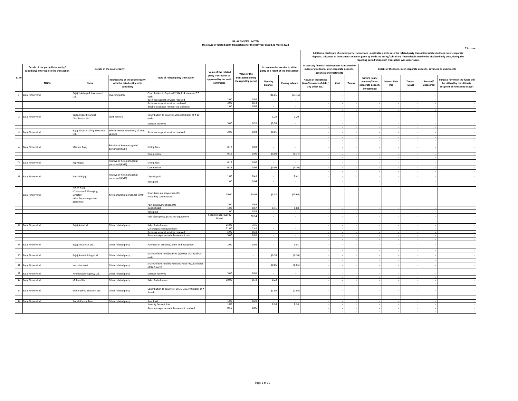|                          | <b>BAJAJ FINSERV LIMITED</b><br>Disclosure of related party transactions for the half-year ended 31 March 2022 |                                                                                        |                                                                                        |                                                                       |                                                            |                                            |                          |                                                                          |                                                                                                                               |      |        |                                                                                                                  |                  |                                                                                                                                                                                                                                                                                                          |
|--------------------------|----------------------------------------------------------------------------------------------------------------|----------------------------------------------------------------------------------------|----------------------------------------------------------------------------------------|-----------------------------------------------------------------------|------------------------------------------------------------|--------------------------------------------|--------------------------|--------------------------------------------------------------------------|-------------------------------------------------------------------------------------------------------------------------------|------|--------|------------------------------------------------------------------------------------------------------------------|------------------|----------------------------------------------------------------------------------------------------------------------------------------------------------------------------------------------------------------------------------------------------------------------------------------------------------|
|                          |                                                                                                                |                                                                                        |                                                                                        |                                                                       |                                                            |                                            |                          |                                                                          |                                                                                                                               |      |        | reporting period when such transaction was undertaken.                                                           |                  | ₹ in crore<br>Additional disclosure of related party transactions - applicable only in case the related party transaction relates to loans, inter-corporate<br>deposits, advances or investments made or given by the listed entity/subsidiary. These details need to be disclosed only once, during the |
|                          | Details of the party (listed entity/<br>subsidiary) entering into the transaction                              |                                                                                        | Details of the counterparty                                                            |                                                                       | Value of the related                                       | Value of the                               |                          | In case monies are due to either<br>party as a result of the transaction | In case any financial indebtedness is incurred to<br>make or give loans, inter-corporate deposits,<br>advances or investments |      |        |                                                                                                                  |                  | Details of the loans, inter-corporate deposits, advances or investments                                                                                                                                                                                                                                  |
| S. No                    | Name                                                                                                           | Name                                                                                   | <b>Relationship of the counterparty</b><br>with the listed entity or its<br>subsidiary | Type of related party transaction                                     | party transaction as<br>approved by the audit<br>committee | transaction during<br>the reporting period | Opening<br>balance       | <b>Closing balance</b>                                                   | Nature of indebtness<br>(loan/issuance of debt/<br>any other etc.)                                                            | Cost | Tenure | Nature (loan/<br>advance/inter-<br><b>Interest Rate</b><br>corporate deposit <sub>/</sub><br>(% )<br>investment) | Tenure<br>(Days) | Purpose for which the funds will<br>Secured/<br>be utilised by the ultimate<br>unsecured<br>recipient of funds (end-usage)                                                                                                                                                                               |
| $\mathbf{1}$             | Bajaj Finserv Ltd.                                                                                             | Bajaj Holdings & Investment                                                            | westing party                                                                          | Contribution to Equity (62,314,214 shares of ₹5                       |                                                            |                                            | (31.16)                  | (31.16)                                                                  |                                                                                                                               |      |        |                                                                                                                  |                  |                                                                                                                                                                                                                                                                                                          |
|                          |                                                                                                                |                                                                                        |                                                                                        | each)<br>Business support services received                           | 2.00                                                       | 0.02                                       |                          | $\overline{\phantom{a}}$                                                 |                                                                                                                               |      |        |                                                                                                                  |                  |                                                                                                                                                                                                                                                                                                          |
|                          |                                                                                                                |                                                                                        |                                                                                        | Business support services rendered                                    | 3.00                                                       | 0.14                                       |                          |                                                                          |                                                                                                                               |      |        |                                                                                                                  |                  |                                                                                                                                                                                                                                                                                                          |
|                          |                                                                                                                |                                                                                        |                                                                                        | Billable expenses reimbursed on behalf                                | 1.00                                                       | 0.05                                       | $\mathbf{r}$             | $\sim$                                                                   |                                                                                                                               |      |        |                                                                                                                  |                  |                                                                                                                                                                                                                                                                                                          |
|                          |                                                                                                                |                                                                                        |                                                                                        |                                                                       |                                                            |                                            |                          |                                                                          |                                                                                                                               |      |        |                                                                                                                  |                  |                                                                                                                                                                                                                                                                                                          |
| $\overline{2}$           | Bajaj Finserv Ltd.                                                                                             | Bajaj Allianz Financial<br>Distributors Ltd.                                           | Joint venture                                                                          | Contribution to Equity (1,200,000 shares of ₹10<br>each)              |                                                            |                                            | 1.20                     | 1.20                                                                     |                                                                                                                               |      |        |                                                                                                                  |                  |                                                                                                                                                                                                                                                                                                          |
|                          |                                                                                                                |                                                                                        |                                                                                        | Services received                                                     | 5.00                                                       | 0.91                                       | (0.20)                   | $\overline{\phantom{a}}$                                                 |                                                                                                                               |      |        |                                                                                                                  |                  |                                                                                                                                                                                                                                                                                                          |
|                          |                                                                                                                | Bajaj Allianz Staffing Solutions                                                       | Wholly owned subsidiary of Joint                                                       |                                                                       |                                                            |                                            |                          |                                                                          |                                                                                                                               |      |        |                                                                                                                  |                  |                                                                                                                                                                                                                                                                                                          |
| $\overline{\mathbf{3}}$  | Bajaj Finserv Ltd.                                                                                             |                                                                                        | renture                                                                                | Business support services received                                    | 2.00                                                       | 0.04                                       | (0.01)                   | $\cdot$                                                                  |                                                                                                                               |      |        |                                                                                                                  |                  |                                                                                                                                                                                                                                                                                                          |
|                          |                                                                                                                |                                                                                        |                                                                                        |                                                                       |                                                            |                                            |                          |                                                                          |                                                                                                                               |      |        |                                                                                                                  |                  |                                                                                                                                                                                                                                                                                                          |
|                          |                                                                                                                |                                                                                        |                                                                                        |                                                                       |                                                            |                                            |                          |                                                                          |                                                                                                                               |      |        |                                                                                                                  |                  |                                                                                                                                                                                                                                                                                                          |
| $\overline{a}$           | Bajaj Finserv Ltd.                                                                                             | Madhur Bajaj                                                                           | Relative of Key managerial<br>personnel (KMP)                                          | Sitting fees                                                          | 0.18                                                       | 0.03                                       |                          |                                                                          |                                                                                                                               |      |        |                                                                                                                  |                  |                                                                                                                                                                                                                                                                                                          |
|                          |                                                                                                                |                                                                                        |                                                                                        | Commission                                                            | 0.36                                                       | 0.06                                       | (0.08)                   | (0.14)                                                                   |                                                                                                                               |      |        |                                                                                                                  |                  |                                                                                                                                                                                                                                                                                                          |
|                          |                                                                                                                |                                                                                        | Relative of Key managerial                                                             |                                                                       |                                                            |                                            |                          |                                                                          |                                                                                                                               |      |        |                                                                                                                  |                  |                                                                                                                                                                                                                                                                                                          |
| $\overline{\phantom{a}}$ | Bajaj Finserv Ltd.                                                                                             | Rajiv Bajaj                                                                            | ersonnel (KMP)                                                                         | Sitting fees                                                          | 0.18                                                       | 0.02                                       | $\mathbf{r}$             | $\overline{\phantom{a}}$                                                 |                                                                                                                               |      |        |                                                                                                                  |                  |                                                                                                                                                                                                                                                                                                          |
|                          |                                                                                                                |                                                                                        |                                                                                        | Commission                                                            | 0.36                                                       | 0.04                                       | (0.06)                   | (0.10)                                                                   |                                                                                                                               |      |        |                                                                                                                  |                  |                                                                                                                                                                                                                                                                                                          |
|                          |                                                                                                                |                                                                                        |                                                                                        |                                                                       |                                                            |                                            |                          |                                                                          |                                                                                                                               |      |        |                                                                                                                  |                  |                                                                                                                                                                                                                                                                                                          |
| 6                        | Bajaj Finserv Ltd.                                                                                             | Shefali Bajaj                                                                          | Relative of Key managerial<br>personnel (KMP)                                          | Deposit paid                                                          | 1.00                                                       | 0.41                                       | $\overline{\phantom{a}}$ | 0.41                                                                     |                                                                                                                               |      |        |                                                                                                                  |                  |                                                                                                                                                                                                                                                                                                          |
|                          |                                                                                                                |                                                                                        |                                                                                        | Rent paid                                                             | 1.00                                                       | 0.04                                       | $\overline{a}$           | $\sim$                                                                   |                                                                                                                               |      |        |                                                                                                                  |                  |                                                                                                                                                                                                                                                                                                          |
|                          |                                                                                                                |                                                                                        |                                                                                        |                                                                       |                                                            |                                            |                          |                                                                          |                                                                                                                               |      |        |                                                                                                                  |                  |                                                                                                                                                                                                                                                                                                          |
| $\overline{z}$           | Bajaj Finserv Ltd.                                                                                             | Sanjiv Bajaj<br>(Chairman & Managing<br>Director)<br>(Also Key management<br>ersonnel) | Key managerial personnel (KMP)                                                         | Short-term employee benefits<br>(including commission)                | 29.00                                                      | 10.08                                      | (5.33)                   | (10.66)                                                                  |                                                                                                                               |      |        |                                                                                                                  |                  |                                                                                                                                                                                                                                                                                                          |
|                          |                                                                                                                |                                                                                        |                                                                                        | Post-employment benefits                                              | 2.00                                                       | 0.63                                       |                          |                                                                          |                                                                                                                               |      |        |                                                                                                                  |                  |                                                                                                                                                                                                                                                                                                          |
|                          |                                                                                                                |                                                                                        |                                                                                        | Deposit paid                                                          | 1.00<br>1.00                                               | 0.67                                       | 0.41                     | 1.08                                                                     |                                                                                                                               |      |        |                                                                                                                  |                  |                                                                                                                                                                                                                                                                                                          |
|                          |                                                                                                                |                                                                                        |                                                                                        | Rent paid                                                             | Separate approval by                                       | 0.55                                       | $\sim$                   | $\overline{\phantom{a}}$                                                 |                                                                                                                               |      |        |                                                                                                                  |                  |                                                                                                                                                                                                                                                                                                          |
|                          |                                                                                                                |                                                                                        |                                                                                        | Sale of property, plant and equipment                                 | Board                                                      | 90.94                                      | $\cdot$                  | $\cdot$                                                                  |                                                                                                                               |      |        |                                                                                                                  |                  | $\sim$                                                                                                                                                                                                                                                                                                   |
|                          | 8 Bajaj Finserv Ltd.                                                                                           | Bajaj Auto Ltd.                                                                        | Other related party                                                                    | Sale of windpower                                                     | 25.00                                                      | 3.16                                       |                          |                                                                          |                                                                                                                               |      |        |                                                                                                                  |                  |                                                                                                                                                                                                                                                                                                          |
|                          |                                                                                                                |                                                                                        |                                                                                        | OA charges reimbursement<br>Business support services received        | 21.00<br>5.00                                              | 2.41<br>0.18                               | $\sim$                   | $\sim$                                                                   |                                                                                                                               |      |        |                                                                                                                  |                  |                                                                                                                                                                                                                                                                                                          |
|                          |                                                                                                                |                                                                                        |                                                                                        | Revenue expenses reimbursement paid                                   | 5.00                                                       | 0.01                                       | $\sim$                   | $\overline{\phantom{a}}$                                                 |                                                                                                                               |      |        |                                                                                                                  |                  |                                                                                                                                                                                                                                                                                                          |
|                          |                                                                                                                |                                                                                        |                                                                                        |                                                                       |                                                            |                                            |                          |                                                                          |                                                                                                                               |      |        |                                                                                                                  |                  |                                                                                                                                                                                                                                                                                                          |
| $\,9$                    | Bajaj Finserv Ltd.                                                                                             | Bajaj Electricals Ltd.                                                                 | Other related party                                                                    | Purchase of property, plant and equipment                             | 2.00                                                       | 0.01                                       |                          | 0.01                                                                     |                                                                                                                               |      |        |                                                                                                                  |                  |                                                                                                                                                                                                                                                                                                          |
|                          |                                                                                                                |                                                                                        |                                                                                        |                                                                       |                                                            |                                            |                          |                                                                          |                                                                                                                               |      |        |                                                                                                                  |                  |                                                                                                                                                                                                                                                                                                          |
|                          | 10 Bajaj Finserv Ltd.                                                                                          | Bajaj Auto Holdings Ltd.                                                               | Other related party                                                                    | Shares of BFS held by BAHL (209,005 shares of ₹5<br>each)             | $\sim$                                                     | $\overline{\phantom{a}}$                   | (0.10)                   | (0.10)                                                                   |                                                                                                                               |      |        |                                                                                                                  |                  |                                                                                                                                                                                                                                                                                                          |
|                          | 11 Bajaj Finserv Ltd.                                                                                          | <b>Hercules Hoist</b>                                                                  | Other related party                                                                    | Shares of BFS held by Hercules Hoist (92,063 shares<br>of Rs. 5 each) | $\sim$                                                     | ٠.                                         | (0.05)                   | (0.05)                                                                   |                                                                                                                               |      |        |                                                                                                                  |                  |                                                                                                                                                                                                                                                                                                          |
|                          | 12 Bajaj Finserv Ltd.                                                                                          | Hind Musafir Agency Ltd.                                                               | Other related party                                                                    | Services received                                                     | 3.00                                                       | 0.01                                       |                          |                                                                          |                                                                                                                               |      |        |                                                                                                                  |                  |                                                                                                                                                                                                                                                                                                          |
|                          | 13 Bajaj Finserv Ltd.                                                                                          | Mukand Ltd.                                                                            | Other related party                                                                    | Sale of windpower                                                     | 30.00                                                      | 0.72                                       | 0.22                     |                                                                          |                                                                                                                               |      |        |                                                                                                                  |                  |                                                                                                                                                                                                                                                                                                          |
|                          |                                                                                                                |                                                                                        |                                                                                        |                                                                       |                                                            |                                            |                          |                                                                          |                                                                                                                               |      |        |                                                                                                                  |                  |                                                                                                                                                                                                                                                                                                          |
|                          | 14 Bajaj Finserv Ltd.                                                                                          | Maharashtra Scooters Ltd.                                                              | Other related party                                                                    | Contribution to equity of BFS (3,725,740 shares of ₹<br>5 each)       |                                                            |                                            | (1.86)                   | (1.86)                                                                   |                                                                                                                               |      |        |                                                                                                                  |                  |                                                                                                                                                                                                                                                                                                          |
|                          | 15 Bajaj Finserv Ltd.                                                                                          | Sanjali Family Trust                                                                   | Other related party                                                                    | Rent Paid                                                             | 1.00                                                       | 0.29                                       |                          |                                                                          |                                                                                                                               |      |        |                                                                                                                  |                  |                                                                                                                                                                                                                                                                                                          |
|                          |                                                                                                                |                                                                                        |                                                                                        | Security Deposit Paid                                                 | 1.00                                                       | $\sim$                                     | 0.14                     | 0.14                                                                     |                                                                                                                               |      |        |                                                                                                                  |                  |                                                                                                                                                                                                                                                                                                          |
|                          |                                                                                                                |                                                                                        |                                                                                        | Revenue expenses reimbursement received                               | 0.50                                                       | 0.05                                       | $\sim$                   |                                                                          |                                                                                                                               |      |        |                                                                                                                  |                  |                                                                                                                                                                                                                                                                                                          |
|                          |                                                                                                                |                                                                                        |                                                                                        |                                                                       |                                                            |                                            |                          |                                                                          |                                                                                                                               |      |        |                                                                                                                  |                  |                                                                                                                                                                                                                                                                                                          |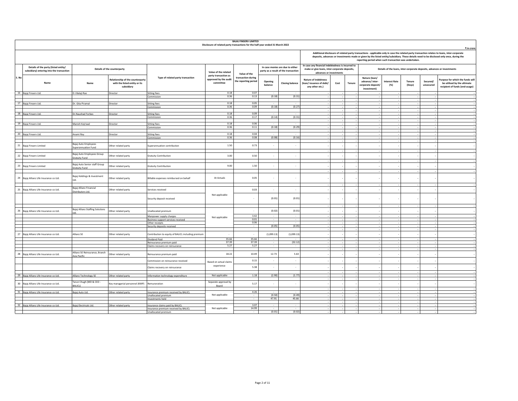|       |                                                                                   |                                                |                                                                                 |                                                               | Disclosure of related party transactions for the half-year ended 31 March 2022 | <b>BAJAJ FINSERV LIMITED</b>               |                                    |                                                                          |                                                                                                                               |      |        |                                                                      |                              |                  |                       |                                                                                                                                                                                                                                                                                            |
|-------|-----------------------------------------------------------------------------------|------------------------------------------------|---------------------------------------------------------------------------------|---------------------------------------------------------------|--------------------------------------------------------------------------------|--------------------------------------------|------------------------------------|--------------------------------------------------------------------------|-------------------------------------------------------------------------------------------------------------------------------|------|--------|----------------------------------------------------------------------|------------------------------|------------------|-----------------------|--------------------------------------------------------------------------------------------------------------------------------------------------------------------------------------------------------------------------------------------------------------------------------------------|
|       |                                                                                   |                                                |                                                                                 |                                                               |                                                                                |                                            |                                    |                                                                          |                                                                                                                               |      |        |                                                                      |                              |                  |                       | ₹ in crore                                                                                                                                                                                                                                                                                 |
|       |                                                                                   |                                                |                                                                                 |                                                               |                                                                                |                                            |                                    |                                                                          |                                                                                                                               |      |        | reporting period when such transaction was undertaken.               |                              |                  |                       | Additional disclosure of related party transactions - applicable only in case the related party transaction relates to loans, inter-corporate<br>deposits, advances or investments made or given by the listed entity/subsidiary. These details need to be disclosed only once, during the |
|       | Details of the party (listed entity/<br>subsidiary) entering into the transaction |                                                | Details of the counterparty                                                     |                                                               | Value of the related                                                           | Value of the                               |                                    | In case monies are due to either<br>party as a result of the transaction | In case any financial indebtedness is incurred to<br>make or give loans, inter-corporate deposits,<br>advances or investments |      |        |                                                                      |                              |                  |                       | Details of the loans, inter-corporate deposits, advances or investments                                                                                                                                                                                                                    |
| S. No | Name                                                                              | Name                                           | Relationship of the counterparty<br>with the listed entity or its<br>subsidiary | Type of related party transaction                             | party transaction as<br>approved by the audit<br>committee                     | transaction during<br>the reporting period | Opening<br>balance                 | <b>Closing balance</b>                                                   | Nature of indebtness<br>(loan/issuance of debt/<br>any other etc.)                                                            | Cost | Tenure | Nature (loan/<br>advance/inter-<br>corporate deposit/<br>investment) | <b>Interest Rate</b><br>(% ) | Tenure<br>(Days) | Secured/<br>unsecured | Purpose for which the funds will<br>be utilised by the ultimate<br>recipient of funds (end-usage)                                                                                                                                                                                          |
|       | 16 Bajaj Finserv Ltd.                                                             | D J Balaji Rao                                 | Director                                                                        | <b>Sitting fees</b><br>Commission                             | 0.18<br>0.36                                                                   | 0.07<br>0.13                               | (0.18)                             | (0.31)                                                                   |                                                                                                                               |      |        |                                                                      |                              |                  |                       |                                                                                                                                                                                                                                                                                            |
|       |                                                                                   |                                                |                                                                                 |                                                               |                                                                                |                                            |                                    |                                                                          |                                                                                                                               |      |        |                                                                      |                              |                  |                       |                                                                                                                                                                                                                                                                                            |
|       | 17 Bajaj Finserv Ltd.                                                             | Dr. Gita Piramal                               | Director                                                                        | <b>Sitting fees</b><br>Commission                             | 0.18<br>0.36                                                                   | 0.05<br>0.09                               | (0.18)                             | (0.27)                                                                   |                                                                                                                               |      |        |                                                                      |                              |                  |                       |                                                                                                                                                                                                                                                                                            |
|       |                                                                                   |                                                |                                                                                 |                                                               | 0.18                                                                           | 0.09                                       | $\sim$                             |                                                                          |                                                                                                                               |      |        |                                                                      |                              |                  |                       |                                                                                                                                                                                                                                                                                            |
|       | 18 Bajaj Finserv Ltd.                                                             | Dr.Naushad Forbes                              | Director                                                                        | Sitting fees<br>Commission                                    | 0.36                                                                           | 0.17                                       | (0.14)                             | (0.31)                                                                   |                                                                                                                               |      |        |                                                                      |                              |                  |                       |                                                                                                                                                                                                                                                                                            |
|       |                                                                                   |                                                |                                                                                 |                                                               | 0.18                                                                           | 0.06                                       | . .                                |                                                                          |                                                                                                                               |      |        |                                                                      |                              |                  |                       |                                                                                                                                                                                                                                                                                            |
|       | 19 Bajaj Finserv Ltd.                                                             | Manish Kejriwal                                | Director                                                                        | <b>Sitting fees</b><br>Commission                             | 0.36                                                                           | 0.11                                       | (0.18)                             | (0.29)                                                                   |                                                                                                                               |      |        |                                                                      |                              |                  | $\sim$                |                                                                                                                                                                                                                                                                                            |
|       | 20 Bajaj Finserv Ltd.                                                             | Anami Roy                                      | Director                                                                        | Sitting fees                                                  | 0.18                                                                           | 0.04                                       |                                    |                                                                          |                                                                                                                               |      |        |                                                                      |                              |                  |                       |                                                                                                                                                                                                                                                                                            |
|       |                                                                                   |                                                |                                                                                 | Commission                                                    | 0.36                                                                           | 0.08                                       | (0.08)                             | (0.16)                                                                   |                                                                                                                               |      |        |                                                                      |                              |                  |                       |                                                                                                                                                                                                                                                                                            |
|       | 21 Bajaj Finserv Limited                                                          | Bajaj Auto Employees<br>Superannuation Fund    | Other related party                                                             | Superannuation contribution                                   | 1.50                                                                           | 0.73                                       | $\overline{\phantom{a}}$           | $\overline{\phantom{a}}$                                                 |                                                                                                                               |      |        |                                                                      |                              |                  |                       |                                                                                                                                                                                                                                                                                            |
|       |                                                                                   |                                                |                                                                                 |                                                               |                                                                                |                                            |                                    |                                                                          |                                                                                                                               |      |        |                                                                      |                              |                  |                       |                                                                                                                                                                                                                                                                                            |
|       | 22 Bajaj Finserv Limited                                                          | Bajaj Auto Employees Group<br>Gratuity Fund    | Other related party                                                             | <b>Gratuity Contribution</b>                                  | 3.00                                                                           | 0.50                                       |                                    | ٠.                                                                       |                                                                                                                               |      |        |                                                                      |                              |                  |                       |                                                                                                                                                                                                                                                                                            |
|       | 23 Bajaj Finserv Limited                                                          | Bajaj Auto Senior staff Group                  | Other related party                                                             |                                                               | 9.00                                                                           | 1.50                                       | $\overline{\phantom{a}}$           | $\cdot$                                                                  |                                                                                                                               |      |        |                                                                      |                              |                  |                       |                                                                                                                                                                                                                                                                                            |
|       |                                                                                   | <b>Gratuity Fund</b>                           |                                                                                 | <b>Gratuity Contribution</b>                                  |                                                                                |                                            |                                    |                                                                          |                                                                                                                               |      |        |                                                                      |                              |                  |                       |                                                                                                                                                                                                                                                                                            |
|       | 24 Bajaj Allianz Life Insurance co Ltd.                                           | Bajaj Holdings & Investment<br>Itd.            | Other related party                                                             | Billable expenses reimbursed on behalf                        | At Actuals                                                                     | 0.05                                       |                                    | $\overline{\phantom{a}}$                                                 |                                                                                                                               |      |        |                                                                      |                              |                  |                       |                                                                                                                                                                                                                                                                                            |
|       | 25 Bajaj Allianz Life Insurance co Ltd.                                           | Bajaj Allianz Financial<br>Distributors Ltd.   | Other related party                                                             | Services received                                             |                                                                                | 0.03                                       |                                    | $\overline{\phantom{a}}$                                                 |                                                                                                                               |      |        |                                                                      |                              |                  |                       |                                                                                                                                                                                                                                                                                            |
|       |                                                                                   |                                                |                                                                                 | Security deposit received                                     | Not applicable                                                                 | $\overline{\phantom{a}}$                   | (0.01)                             | (0.01)                                                                   |                                                                                                                               |      |        |                                                                      |                              |                  |                       |                                                                                                                                                                                                                                                                                            |
|       |                                                                                   | Bajaj Allianz Staffing Solutions               |                                                                                 |                                                               |                                                                                |                                            |                                    |                                                                          |                                                                                                                               |      |        |                                                                      |                              |                  |                       |                                                                                                                                                                                                                                                                                            |
| 26    | Bajaj Allianz Life Insurance co Ltd.                                              |                                                | Other related party                                                             | Unallocated premium                                           |                                                                                |                                            | (0.02)                             | (0.01)                                                                   |                                                                                                                               |      |        |                                                                      |                              |                  |                       |                                                                                                                                                                                                                                                                                            |
|       |                                                                                   |                                                |                                                                                 | Manpower supply charges<br>Business support services received | Not applicable                                                                 | 3.42<br>0.01                               | $\overline{\phantom{a}}$           | $\overline{\phantom{a}}$<br>$\cdot$                                      |                                                                                                                               |      |        |                                                                      |                              |                  |                       |                                                                                                                                                                                                                                                                                            |
|       |                                                                                   |                                                |                                                                                 | Other receipts                                                |                                                                                | 0.06                                       |                                    |                                                                          |                                                                                                                               |      |        |                                                                      |                              |                  |                       |                                                                                                                                                                                                                                                                                            |
|       |                                                                                   |                                                |                                                                                 | Security deposits received                                    |                                                                                | $\sim$                                     | (0.05)                             | (0.05)                                                                   |                                                                                                                               |      |        |                                                                      |                              |                  |                       |                                                                                                                                                                                                                                                                                            |
|       | 27 Bajaj Allianz Life Insurance co Ltd.                                           | Allianz SE                                     | Other related party                                                             | Contribution to equity of BALICL including premium            |                                                                                | $\overline{\phantom{a}}$                   | (1,099.13)                         | (1,099.13)                                                               |                                                                                                                               |      |        |                                                                      |                              |                  |                       |                                                                                                                                                                                                                                                                                            |
|       |                                                                                   |                                                |                                                                                 | Dividend Paid                                                 | 35.66<br>37.39                                                                 | 35.66<br>37.39                             | $\overline{\phantom{a}}$<br>$\sim$ | $\overline{\phantom{a}}$<br>(32.12)                                      |                                                                                                                               |      |        |                                                                      |                              |                  |                       |                                                                                                                                                                                                                                                                                            |
|       |                                                                                   |                                                |                                                                                 | Reinsurance premium paid<br>Claims recovery on reinsurance    | 5.27                                                                           | 5.27                                       |                                    |                                                                          |                                                                                                                               |      |        |                                                                      |                              |                  |                       |                                                                                                                                                                                                                                                                                            |
|       | 28 Bajaj Allianz Life Insurance co Ltd.                                           | Allianz SE Reinsurance, Branch<br>Asia Pacific | Other related party                                                             | Reinsurance premium paid                                      | 18.22                                                                          | 10.49                                      | 12.73                              | 5.63                                                                     |                                                                                                                               |      | $\sim$ |                                                                      |                              |                  |                       |                                                                                                                                                                                                                                                                                            |
|       |                                                                                   |                                                |                                                                                 | Commission on reinsurance received                            | Based on actual claims                                                         | 0.15                                       | $\cdot$                            | $\cdot$                                                                  |                                                                                                                               |      |        |                                                                      |                              |                  |                       |                                                                                                                                                                                                                                                                                            |
|       |                                                                                   |                                                |                                                                                 | Claims recovery on reinsurance                                | experience                                                                     | 5.38                                       | $\cdot$                            | ٠                                                                        |                                                                                                                               |      |        |                                                                      |                              |                  |                       |                                                                                                                                                                                                                                                                                            |
|       | 29 Bajaj Allianz Life Insurance co Ltd.                                           | Allianz Technology SE                          | Other related party                                                             | Information technology expenditure                            | Not applicable                                                                 | 1.18                                       | (2.90)                             | (1.77)                                                                   |                                                                                                                               |      |        |                                                                      |                              |                  |                       |                                                                                                                                                                                                                                                                                            |
|       | 30 Bajaj Allianz Life Insurance co Ltd.                                           | Tarun Chugh (MD & CEO -<br>BALICL)             | Key managerial personnel (KMP)                                                  | Remuneration                                                  | Separate approval by<br>Board                                                  | 5.17                                       | $\overline{\phantom{a}}$           | $\overline{\phantom{a}}$                                                 |                                                                                                                               |      |        |                                                                      |                              |                  |                       |                                                                                                                                                                                                                                                                                            |
|       |                                                                                   |                                                |                                                                                 |                                                               |                                                                                |                                            |                                    |                                                                          |                                                                                                                               |      |        |                                                                      |                              |                  |                       |                                                                                                                                                                                                                                                                                            |
|       | 31 Bajaj Allianz Life Insurance co Ltd.                                           | Bajaj Auto Ltd.                                | Other related party                                                             | Insurance premium received by BALICL<br>Unallocated premium   | Not applicable                                                                 | 4.26                                       | (0.50)                             | (0.49)                                                                   |                                                                                                                               |      |        |                                                                      |                              |                  |                       |                                                                                                                                                                                                                                                                                            |
|       |                                                                                   |                                                |                                                                                 | nvestments held                                               |                                                                                | τ                                          | 47.91                              | 45.66                                                                    |                                                                                                                               |      | $\sim$ |                                                                      |                              |                  | $\sim$                |                                                                                                                                                                                                                                                                                            |
|       | 32 Bajaj Allianz Life Insurance co Ltd.                                           | Bajaj Electricals Ltd.                         | Other related party                                                             | Insurance claims paid by BALICL                               |                                                                                | 3.07                                       |                                    |                                                                          |                                                                                                                               |      |        |                                                                      |                              |                  |                       |                                                                                                                                                                                                                                                                                            |
|       |                                                                                   |                                                |                                                                                 | Insurance premium received by BALICL<br>Unallocated premium   | Not applicable                                                                 | 14.99                                      | $\sim$<br>(0.01)                   | $\sim$<br>(0.02)                                                         |                                                                                                                               |      |        |                                                                      |                              |                  |                       |                                                                                                                                                                                                                                                                                            |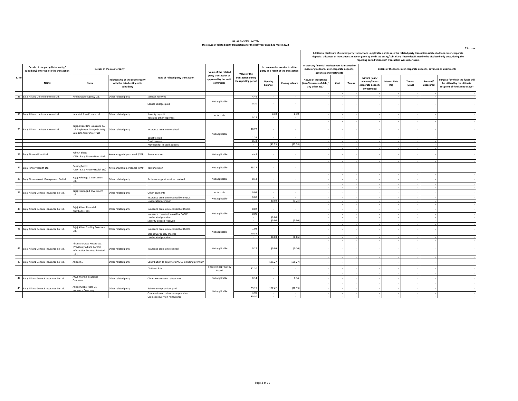|       |                                                                                   |                                                                                                        |                                                                                 |                                                                     | Disclosure of related party transactions for the half-year ended 31 March 2022 | <b>BAJAJ FINSERV LIMITED</b>               |                                      |                                                                          |                                                                                                                               |      |        |                                                                      |                              |                         |                       | ₹ in crore                                                                                                                                                                                                                                                                                 |
|-------|-----------------------------------------------------------------------------------|--------------------------------------------------------------------------------------------------------|---------------------------------------------------------------------------------|---------------------------------------------------------------------|--------------------------------------------------------------------------------|--------------------------------------------|--------------------------------------|--------------------------------------------------------------------------|-------------------------------------------------------------------------------------------------------------------------------|------|--------|----------------------------------------------------------------------|------------------------------|-------------------------|-----------------------|--------------------------------------------------------------------------------------------------------------------------------------------------------------------------------------------------------------------------------------------------------------------------------------------|
|       |                                                                                   |                                                                                                        |                                                                                 |                                                                     |                                                                                |                                            |                                      |                                                                          |                                                                                                                               |      |        | reporting period when such transaction was undertaken.               |                              |                         |                       | Additional disclosure of related party transactions - applicable only in case the related party transaction relates to loans, inter-corporate<br>deposits, advances or investments made or given by the listed entity/subsidiary. These details need to be disclosed only once, during the |
|       | Details of the party (listed entity/<br>subsidiary) entering into the transaction |                                                                                                        | Details of the counterparty                                                     |                                                                     | Value of the related<br>party transaction as                                   | Value of the                               |                                      | In case monies are due to either<br>party as a result of the transaction | In case any financial indebtedness is incurred to<br>make or give loans, inter-corporate deposits,<br>advances or investments |      |        |                                                                      |                              |                         |                       | Details of the loans, inter-corporate deposits, advances or investments                                                                                                                                                                                                                    |
| S. No | Name                                                                              | Name                                                                                                   | Relationship of the counterparty<br>with the listed entity or its<br>subsidiary | Type of related party transaction                                   | approved by the audit<br>committee                                             | transaction during<br>the reporting period | Opening<br>balance                   | <b>Closing balance</b>                                                   | <b>Nature of indebtness</b><br>(loan/issuance of debt/<br>any other etc.)                                                     | Cost | Tenure | Nature (loan/<br>advance/inter-<br>corporate deposit/<br>investment) | <b>Interest Rate</b><br>(% ) | <b>Tenure</b><br>(Days) | Secured/<br>unsecured | Purpose for which the funds will<br>be utilised by the ultimate<br>recipient of funds (end-usage)                                                                                                                                                                                          |
|       |                                                                                   |                                                                                                        |                                                                                 |                                                                     |                                                                                | 4.49                                       |                                      |                                                                          |                                                                                                                               |      |        |                                                                      |                              |                         |                       |                                                                                                                                                                                                                                                                                            |
|       | 33 Bajaj Allianz Life Insurance co Ltd.                                           | Hind Musafir Agency Ltd.                                                                               | Other related party                                                             | Services received<br>Service Charges paid                           | Not applicable                                                                 | 0.10                                       |                                      | ٠                                                                        |                                                                                                                               |      |        |                                                                      |                              |                         |                       |                                                                                                                                                                                                                                                                                            |
|       |                                                                                   |                                                                                                        |                                                                                 |                                                                     |                                                                                |                                            |                                      |                                                                          |                                                                                                                               |      |        |                                                                      |                              |                         |                       |                                                                                                                                                                                                                                                                                            |
|       | 34 Bajaj Allianz Life Insurance co Ltd.                                           | Jamnalal Sons Private Ltd.                                                                             | Other related party                                                             | Security deposit                                                    | At Actuals                                                                     | 0.13                                       | 0.10                                 | 0.10                                                                     |                                                                                                                               |      |        |                                                                      |                              |                         |                       |                                                                                                                                                                                                                                                                                            |
|       |                                                                                   |                                                                                                        |                                                                                 | Rent and other expenses                                             |                                                                                |                                            |                                      |                                                                          |                                                                                                                               |      |        |                                                                      |                              |                         |                       |                                                                                                                                                                                                                                                                                            |
|       | 35 Bajaj Allianz Life Insurance co Ltd.                                           | Bajaj Allianz Life Insurance Co<br>Ltd Employees Group Gratuity<br>Cum Life Assurance Trust            | Other related party                                                             | Insurance premium received                                          | Not applicable                                                                 | 10.77                                      | ٠                                    | $\overline{\phantom{a}}$                                                 |                                                                                                                               |      |        |                                                                      |                              |                         |                       |                                                                                                                                                                                                                                                                                            |
|       |                                                                                   |                                                                                                        |                                                                                 | <b>Benefits Paid</b>                                                |                                                                                | 1.26                                       |                                      |                                                                          |                                                                                                                               |      |        |                                                                      |                              |                         |                       |                                                                                                                                                                                                                                                                                            |
|       |                                                                                   |                                                                                                        |                                                                                 | Fund reserve                                                        |                                                                                | 0.33                                       | (43.23)                              |                                                                          |                                                                                                                               |      |        |                                                                      |                              |                         |                       |                                                                                                                                                                                                                                                                                            |
|       |                                                                                   |                                                                                                        |                                                                                 | Provision for linked liabilities                                    |                                                                                |                                            |                                      | (52.28)                                                                  |                                                                                                                               |      |        |                                                                      |                              |                         |                       |                                                                                                                                                                                                                                                                                            |
|       | 36 Bajaj Finserv Direct Ltd.                                                      | <b>Rakesh Bhatt</b><br>(CEO - Bajaj Finserv Direct Ltd)                                                | Key managerial personnel (KMP)                                                  | Remuneration                                                        | Not applicable                                                                 | 4.43                                       |                                      | ٠                                                                        |                                                                                                                               |      |        |                                                                      |                              |                         |                       |                                                                                                                                                                                                                                                                                            |
|       | 37 Bajaj Finserv Health Ltd.                                                      | Devang Mody<br>(CEO - Bajaj Finserv Health Ltd)                                                        | Key managerial personnel (KMP)                                                  | Remuneration                                                        | Not applicable                                                                 | 15.17                                      |                                      | ٠                                                                        |                                                                                                                               |      |        |                                                                      |                              |                         |                       |                                                                                                                                                                                                                                                                                            |
|       | 38 Bajaj Finserv Asset Management Co Ltd.                                         | Bajaj Holdings & Investment                                                                            | Other related party                                                             | Business support services received                                  | Not applicable                                                                 | 0.13                                       |                                      |                                                                          |                                                                                                                               |      |        |                                                                      |                              |                         |                       |                                                                                                                                                                                                                                                                                            |
|       |                                                                                   |                                                                                                        |                                                                                 |                                                                     |                                                                                |                                            |                                      |                                                                          |                                                                                                                               |      |        |                                                                      |                              |                         |                       |                                                                                                                                                                                                                                                                                            |
| 39    | Bajaj Allianz General Insurance Co Ltd.                                           | Bajaj Holdings & Investment                                                                            | Other related party                                                             | Other payments<br>Insurance premium received by BAGICL              | At Actuals                                                                     | 0.05<br>0.05                               |                                      | $\overline{\phantom{a}}$                                                 |                                                                                                                               |      |        |                                                                      |                              |                         |                       |                                                                                                                                                                                                                                                                                            |
|       |                                                                                   |                                                                                                        |                                                                                 | Unallocated premium                                                 | Not applicable                                                                 |                                            | (0.02)                               | (1.25)                                                                   |                                                                                                                               |      |        |                                                                      |                              |                         |                       |                                                                                                                                                                                                                                                                                            |
|       |                                                                                   |                                                                                                        |                                                                                 |                                                                     |                                                                                |                                            |                                      |                                                                          |                                                                                                                               |      |        |                                                                      |                              |                         |                       |                                                                                                                                                                                                                                                                                            |
|       | 40 Bajaj Allianz General Insurance Co Ltd.                                        | Bajaj Allianz Financial<br>Distributors Ltd.                                                           | Other related party                                                             | Insurance premium received by BAGICL                                | Not applicable                                                                 | 0.02<br>0.08                               | $\overline{\phantom{a}}$             | $\overline{\phantom{a}}$<br>$\overline{\phantom{a}}$                     |                                                                                                                               |      |        |                                                                      |                              |                         |                       |                                                                                                                                                                                                                                                                                            |
|       |                                                                                   |                                                                                                        |                                                                                 | Insurance commission paid by BAGICL<br><b>Jnallocated premium</b>   |                                                                                |                                            | (0.00)                               |                                                                          |                                                                                                                               |      |        |                                                                      |                              |                         |                       |                                                                                                                                                                                                                                                                                            |
|       |                                                                                   |                                                                                                        |                                                                                 | Security deposit received                                           |                                                                                | $\sim$                                     | (0.00)                               | (0.00)                                                                   |                                                                                                                               |      |        |                                                                      |                              |                         |                       |                                                                                                                                                                                                                                                                                            |
|       |                                                                                   | Bajaj Allianz Staffing Solutions                                                                       |                                                                                 |                                                                     |                                                                                |                                            |                                      |                                                                          |                                                                                                                               |      |        |                                                                      |                              |                         |                       |                                                                                                                                                                                                                                                                                            |
|       | 41 Bajaj Allianz General Insurance Co Ltd.                                        |                                                                                                        | Other related party                                                             | nsurance premium received by BAGICL                                 | Not applicable                                                                 | 1.02                                       | $\overline{a}$                       | $\overline{\phantom{a}}$                                                 |                                                                                                                               |      |        |                                                                      |                              |                         |                       |                                                                                                                                                                                                                                                                                            |
|       |                                                                                   |                                                                                                        |                                                                                 | Manpower supply charges<br>Unallocated premium                      |                                                                                | 40.34                                      | (0.03)                               | (0.06)                                                                   |                                                                                                                               |      |        |                                                                      |                              |                         |                       |                                                                                                                                                                                                                                                                                            |
|       |                                                                                   |                                                                                                        |                                                                                 |                                                                     |                                                                                |                                            |                                      |                                                                          |                                                                                                                               |      |        |                                                                      |                              |                         |                       |                                                                                                                                                                                                                                                                                            |
|       | 42 Bajaj Allianz General Insurance Co Ltd.                                        | Allianz Services Private Ltd.<br>(Previously Allianz Cornhill<br>Information Services Privated<br>f.ht | Other related party                                                             | Insurance premium received                                          | Not applicable                                                                 | 0.17                                       | (0.09)                               | (0.10)                                                                   |                                                                                                                               |      |        |                                                                      |                              |                         |                       |                                                                                                                                                                                                                                                                                            |
|       |                                                                                   |                                                                                                        |                                                                                 |                                                                     |                                                                                |                                            |                                      |                                                                          |                                                                                                                               |      |        |                                                                      |                              |                         |                       |                                                                                                                                                                                                                                                                                            |
|       | 43 Bajaj Allianz General Insurance Co Ltd.                                        | Allianz SE                                                                                             | Other related party                                                             | Contribution to equity of BAGICL including premium<br>Dividend Paid | Separate approval by                                                           | 32.10                                      | (195.27)<br>$\overline{\phantom{a}}$ | (195.27)<br>$\cdot$                                                      |                                                                                                                               |      |        |                                                                      |                              |                         |                       |                                                                                                                                                                                                                                                                                            |
|       |                                                                                   |                                                                                                        |                                                                                 |                                                                     | Board                                                                          |                                            |                                      |                                                                          |                                                                                                                               |      |        |                                                                      |                              |                         |                       |                                                                                                                                                                                                                                                                                            |
|       | 44 Bajaj Allianz General Insurance Co Ltd.                                        | <b>AGCS Marine Insurance</b><br>ompany                                                                 | Other related party                                                             | Claims recovery on reinsurance                                      | Not applicable                                                                 | 0.14                                       |                                      | 0.14                                                                     |                                                                                                                               |      |        |                                                                      |                              |                         |                       |                                                                                                                                                                                                                                                                                            |
|       | 45 Bajaj Allianz General Insurance Co Ltd.                                        | Allianz Global Risks US                                                                                | Other related party                                                             | Reinsurance premium paid                                            |                                                                                | 39.15                                      | (167.42)                             | (18.39)                                                                  |                                                                                                                               |      |        |                                                                      |                              |                         |                       |                                                                                                                                                                                                                                                                                            |
|       |                                                                                   | nsurance Company                                                                                       |                                                                                 |                                                                     | Not applicable                                                                 | 4.90                                       | $\overline{a}$                       | $\overline{\phantom{a}}$                                                 |                                                                                                                               |      |        |                                                                      |                              |                         |                       |                                                                                                                                                                                                                                                                                            |
|       |                                                                                   |                                                                                                        |                                                                                 | Commission on reinsurance premium<br>Claims recovery on reinsurance |                                                                                | 80.30                                      | $\sim$                               | $\overline{\phantom{a}}$                                                 |                                                                                                                               |      |        |                                                                      |                              |                         |                       |                                                                                                                                                                                                                                                                                            |
|       |                                                                                   |                                                                                                        |                                                                                 |                                                                     |                                                                                |                                            |                                      |                                                                          |                                                                                                                               |      |        |                                                                      |                              |                         |                       |                                                                                                                                                                                                                                                                                            |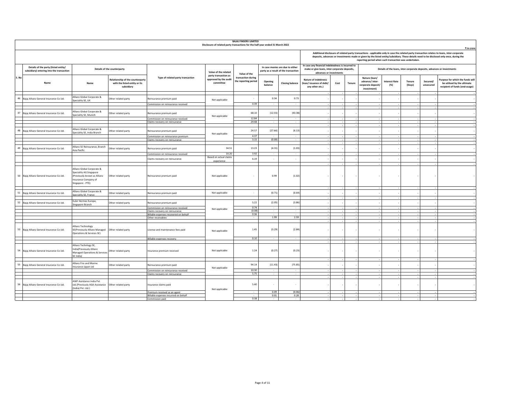|                                                                                   |                                                                                                                                   |                                                                                 |                                                                         | Disclosure of related party transactions for the half-year ended 31 March 2022 | <b>BAJAJ FINSERV LIMITED</b>               |                    |                                                                          |                                                                                                                               |      |        |                                                                       |                                                                         |                  |                       | ₹ in crore                                                                                                                                                                                                                                                                                 |
|-----------------------------------------------------------------------------------|-----------------------------------------------------------------------------------------------------------------------------------|---------------------------------------------------------------------------------|-------------------------------------------------------------------------|--------------------------------------------------------------------------------|--------------------------------------------|--------------------|--------------------------------------------------------------------------|-------------------------------------------------------------------------------------------------------------------------------|------|--------|-----------------------------------------------------------------------|-------------------------------------------------------------------------|------------------|-----------------------|--------------------------------------------------------------------------------------------------------------------------------------------------------------------------------------------------------------------------------------------------------------------------------------------|
|                                                                                   |                                                                                                                                   |                                                                                 |                                                                         |                                                                                |                                            |                    |                                                                          |                                                                                                                               |      |        | reporting period when such transaction was undertaken.                |                                                                         |                  |                       | Additional disclosure of related party transactions - applicable only in case the related party transaction relates to loans, inter-corporate<br>deposits, advances or investments made or given by the listed entity/subsidiary. These details need to be disclosed only once, during the |
| Details of the party (listed entity/<br>subsidiary) entering into the transaction |                                                                                                                                   | Details of the counterparty                                                     |                                                                         | Value of the related                                                           | Value of the                               |                    | In case monies are due to either<br>party as a result of the transaction | In case any financial indebtedness is incurred to<br>make or give loans, inter-corporate deposits,<br>advances or investments |      |        |                                                                       | Details of the loans, inter-corporate deposits, advances or investments |                  |                       |                                                                                                                                                                                                                                                                                            |
| S. No<br>Name                                                                     | Name                                                                                                                              | Relationship of the counterparty<br>with the listed entity or its<br>subsidiary | Type of related party transaction                                       | party transaction as<br>approved by the audit<br>committee                     | transaction during<br>the reporting period | Opening<br>balance | <b>Closing balance</b>                                                   | <b>Nature of indebtness</b><br>(loan/issuance of debt/<br>any other etc.)                                                     | Cost | Tenure | Nature (loan/<br>advance/ inter-<br>corporate deposit/<br>investment) | <b>Interest Rate</b><br>(% )                                            | Tenure<br>(Days) | Secured/<br>unsecured | Purpose for which the funds will<br>be utilised by the ultimate<br>recipient of funds (end-usage)                                                                                                                                                                                          |
| 46<br>Bajaj Allianz General Insurance Co Ltd.                                     | Allianz Global Corporate &<br>Speciality SE, UK                                                                                   | Other related party                                                             | deinsurance premium paid                                                | Not applicable                                                                 |                                            | 0.34               | 0.73                                                                     |                                                                                                                               |      |        |                                                                       |                                                                         |                  |                       |                                                                                                                                                                                                                                                                                            |
|                                                                                   |                                                                                                                                   |                                                                                 | Commission on reinsurance received                                      |                                                                                | 0.39                                       |                    |                                                                          |                                                                                                                               |      |        |                                                                       |                                                                         |                  |                       |                                                                                                                                                                                                                                                                                            |
| 47<br>Bajaj Allianz General Insurance Co Ltd.                                     | Allianz Global Corporate &<br>Speciality SE, Munich                                                                               | Other related party                                                             | Reinsurance premium paid                                                | Not applicable                                                                 | 68.10                                      | (12.55)            | (43.38)                                                                  |                                                                                                                               |      |        |                                                                       |                                                                         |                  |                       |                                                                                                                                                                                                                                                                                            |
|                                                                                   |                                                                                                                                   |                                                                                 | Commission on reinsurance received<br>Claims recovery on reinsurance    |                                                                                | 12.84<br>29.48                             |                    | $\sim$<br>$\sim$                                                         |                                                                                                                               |      |        |                                                                       |                                                                         |                  |                       |                                                                                                                                                                                                                                                                                            |
|                                                                                   |                                                                                                                                   |                                                                                 |                                                                         |                                                                                |                                            |                    |                                                                          |                                                                                                                               |      |        |                                                                       |                                                                         |                  |                       |                                                                                                                                                                                                                                                                                            |
| 48<br>Bajaj Allianz General Insurance Co Ltd.                                     | Allianz Global Corporate &<br>Speciality SE, India Branch                                                                         | Other related party                                                             | Reinsurance premium paid                                                | Not applicable                                                                 | 24.57                                      | (27.66)            | (6.13)                                                                   |                                                                                                                               |      |        |                                                                       |                                                                         |                  |                       |                                                                                                                                                                                                                                                                                            |
|                                                                                   |                                                                                                                                   |                                                                                 | Commission on reinsurance premium                                       |                                                                                | 4.37<br>3.15                               | (0.00)             | $\sim$                                                                   |                                                                                                                               |      |        |                                                                       |                                                                         |                  |                       |                                                                                                                                                                                                                                                                                            |
|                                                                                   |                                                                                                                                   |                                                                                 | Claims recovery on reinsurance                                          |                                                                                |                                            |                    |                                                                          |                                                                                                                               |      |        |                                                                       |                                                                         |                  |                       |                                                                                                                                                                                                                                                                                            |
| 49<br>Bajaj Allianz General Insurance Co Ltd.                                     | Allianz SE Reinsurance, Branch<br>Asia Pacific                                                                                    | Other related party                                                             | Reinsurance premium paid                                                | 34.51                                                                          | 13.23                                      | (4.31)             | (1.03)                                                                   |                                                                                                                               |      |        |                                                                       |                                                                         |                  |                       |                                                                                                                                                                                                                                                                                            |
|                                                                                   |                                                                                                                                   |                                                                                 | Commission on reinsurance received                                      | 10.20                                                                          | 3.92                                       |                    |                                                                          |                                                                                                                               |      |        |                                                                       |                                                                         |                  |                       |                                                                                                                                                                                                                                                                                            |
|                                                                                   |                                                                                                                                   |                                                                                 | Claims recovery on reinsurance                                          | Based on actual claims                                                         | 6.19                                       |                    | $\overline{\phantom{a}}$                                                 |                                                                                                                               |      |        |                                                                       |                                                                         |                  |                       |                                                                                                                                                                                                                                                                                            |
|                                                                                   |                                                                                                                                   |                                                                                 |                                                                         | experience                                                                     |                                            |                    |                                                                          |                                                                                                                               |      |        |                                                                       |                                                                         |                  |                       |                                                                                                                                                                                                                                                                                            |
| 50 Bajaj Allianz General Insurance Co Ltd.                                        | Allianz Global Corporate &<br>Speciality AG Singapore<br>(Previously known as Allianz<br>Insurance Company of<br>Singapore - PTE) | Other related party                                                             | Reinsurance premium paid                                                | Not applicable                                                                 |                                            | 0.99               | (1.02)                                                                   |                                                                                                                               |      |        |                                                                       |                                                                         |                  |                       |                                                                                                                                                                                                                                                                                            |
|                                                                                   | Allianz Global Corporate &                                                                                                        |                                                                                 |                                                                         | Not applicable                                                                 | $\overline{\phantom{a}}$                   | (0.71)             | (0.64)                                                                   |                                                                                                                               |      |        |                                                                       |                                                                         |                  |                       |                                                                                                                                                                                                                                                                                            |
| 51<br>Bajaj Allianz General Insurance Co Ltd.                                     | Speciality SE, France                                                                                                             | Other related party                                                             | Reinsurance premium paid                                                |                                                                                |                                            |                    |                                                                          |                                                                                                                               |      |        |                                                                       |                                                                         |                  |                       |                                                                                                                                                                                                                                                                                            |
| 52<br>Bajaj Allianz General Insurance Co Ltd.                                     | Euler Hermes Europe,<br>Singapore Branch                                                                                          | Other related party                                                             | einsurance premium paid                                                 |                                                                                | 5.22                                       | (2.05)             | (3.86)                                                                   |                                                                                                                               |      |        |                                                                       |                                                                         |                  |                       |                                                                                                                                                                                                                                                                                            |
|                                                                                   |                                                                                                                                   |                                                                                 | Commission on reinsurance received                                      | Not applicable                                                                 | 0.74<br>(0.08)                             | $\sim$             | $\sim$<br>Τ                                                              |                                                                                                                               |      |        |                                                                       |                                                                         |                  |                       |                                                                                                                                                                                                                                                                                            |
|                                                                                   |                                                                                                                                   |                                                                                 | Claims recovery on reinsurance<br>Billable expenses recovered on behalf |                                                                                | 0.36                                       |                    |                                                                          |                                                                                                                               |      |        |                                                                       |                                                                         |                  |                       |                                                                                                                                                                                                                                                                                            |
|                                                                                   |                                                                                                                                   |                                                                                 | Other receivables                                                       |                                                                                | $\sim$                                     | 1.99               | 2.59                                                                     |                                                                                                                               |      |        |                                                                       |                                                                         |                  |                       |                                                                                                                                                                                                                                                                                            |
|                                                                                   |                                                                                                                                   |                                                                                 |                                                                         |                                                                                |                                            |                    |                                                                          |                                                                                                                               |      |        |                                                                       |                                                                         |                  |                       |                                                                                                                                                                                                                                                                                            |
| 53<br>Bajaj Allianz General Insurance Co Ltd.                                     | Allianz Technology<br>SE(Previously Allianz Managed<br>Operations & Services SE)                                                  | Other related party                                                             | License and maintenance fees paid                                       | Not applicable                                                                 | 1.45                                       | (3.29)             | (2.84)                                                                   |                                                                                                                               |      |        |                                                                       |                                                                         |                  |                       |                                                                                                                                                                                                                                                                                            |
|                                                                                   |                                                                                                                                   |                                                                                 | Billable expenses recovery                                              |                                                                                | 0.10                                       |                    | $\sim$                                                                   |                                                                                                                               |      |        |                                                                       |                                                                         |                  |                       |                                                                                                                                                                                                                                                                                            |
| 54<br>Bajaj Allianz General Insurance Co Ltd.                                     | Allianz Technlogy SE,<br>India(Previously Allianz<br>Managed Operations & Services<br>SE India)                                   | Other related party                                                             | Insurance premium received                                              | Not applicable                                                                 | 1.24                                       | (0.27)             | (0.23)                                                                   |                                                                                                                               |      |        |                                                                       |                                                                         |                  |                       |                                                                                                                                                                                                                                                                                            |
| 55 Bajaj Allianz General Insurance Co Ltd.                                        | Allianz Fire and Marine                                                                                                           | Other related party                                                             | Reinsurance premium paid                                                |                                                                                | 94.14                                      | (11.43)            | (75.85)                                                                  |                                                                                                                               |      |        |                                                                       |                                                                         |                  |                       |                                                                                                                                                                                                                                                                                            |
|                                                                                   | Insurance Japan Ltd                                                                                                               |                                                                                 |                                                                         | Not applicable                                                                 | 10.30                                      | $\sim$             | $\sim$                                                                   |                                                                                                                               |      |        |                                                                       |                                                                         |                  |                       |                                                                                                                                                                                                                                                                                            |
|                                                                                   |                                                                                                                                   |                                                                                 | Commission on reinsurance received<br>Claims recovery on reinsurance    |                                                                                | 5.75                                       |                    | $\sim$                                                                   |                                                                                                                               |      |        |                                                                       |                                                                         |                  |                       |                                                                                                                                                                                                                                                                                            |
|                                                                                   |                                                                                                                                   |                                                                                 |                                                                         |                                                                                |                                            |                    |                                                                          |                                                                                                                               |      |        |                                                                       |                                                                         |                  |                       |                                                                                                                                                                                                                                                                                            |
| 56<br>Bajaj Allianz General Insurance Co Ltd.                                     | AWP Assistance India Pvt.<br>Ltd.(Previously AGA Assistance<br>(India) Pvt. Ltd.)                                                 | Other related party                                                             | Insurance claims paid                                                   | Not applicable                                                                 | 5.40                                       |                    | ٠                                                                        |                                                                                                                               |      |        |                                                                       |                                                                         |                  |                       |                                                                                                                                                                                                                                                                                            |
|                                                                                   |                                                                                                                                   |                                                                                 | Premium received as an agent                                            |                                                                                | $\sim$                                     | 0.09               | (0.06)                                                                   |                                                                                                                               |      |        |                                                                       |                                                                         |                  |                       |                                                                                                                                                                                                                                                                                            |
|                                                                                   |                                                                                                                                   |                                                                                 | Billable expenses incurred on behalf                                    |                                                                                | $\sim$                                     | 0.01               | 0.28                                                                     |                                                                                                                               |      |        |                                                                       |                                                                         |                  |                       |                                                                                                                                                                                                                                                                                            |
|                                                                                   |                                                                                                                                   |                                                                                 | Commission paid                                                         |                                                                                | 0.38                                       |                    |                                                                          |                                                                                                                               |      |        |                                                                       |                                                                         |                  |                       |                                                                                                                                                                                                                                                                                            |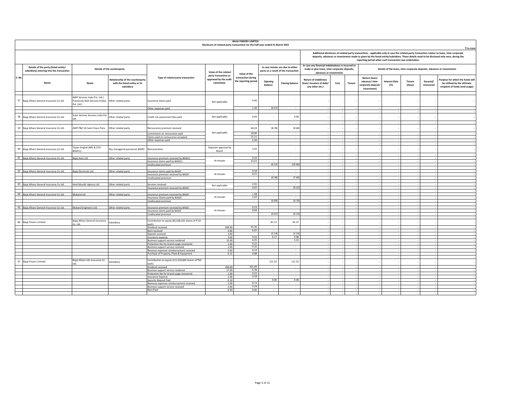|       |                                                                                   |                                                                                |                                                                                 |                                                                                     | Disclosure of related party transactions for the half-year ended 31 March 2022 | <b>BAJAJ FINSERV LIMITED</b>               |                               |                                                                          |                                                                                                                               |      |        |                                                                      |                              |                  |                       | ₹ in crore                                                                                                                                                                                                                                                                                 |
|-------|-----------------------------------------------------------------------------------|--------------------------------------------------------------------------------|---------------------------------------------------------------------------------|-------------------------------------------------------------------------------------|--------------------------------------------------------------------------------|--------------------------------------------|-------------------------------|--------------------------------------------------------------------------|-------------------------------------------------------------------------------------------------------------------------------|------|--------|----------------------------------------------------------------------|------------------------------|------------------|-----------------------|--------------------------------------------------------------------------------------------------------------------------------------------------------------------------------------------------------------------------------------------------------------------------------------------|
|       |                                                                                   |                                                                                |                                                                                 |                                                                                     |                                                                                |                                            |                               |                                                                          |                                                                                                                               |      |        | reporting period when such transaction was undertaken.               |                              |                  |                       | Additional disclosure of related party transactions - applicable only in case the related party transaction relates to loans, inter-corporate<br>deposits, advances or investments made or given by the listed entity/subsidiary. These details need to be disclosed only once, during the |
|       | Details of the party (listed entity/<br>subsidiary) entering into the transaction |                                                                                | Details of the counterparty                                                     |                                                                                     | Value of the related<br>party transaction as                                   | Value of the                               |                               | In case monies are due to either<br>party as a result of the transaction | In case any financial indebtedness is incurred to<br>make or give loans, inter-corporate deposits,<br>advances or investments |      |        |                                                                      |                              |                  |                       | Details of the loans, inter-corporate deposits, advances or investments                                                                                                                                                                                                                    |
| S. No | Name                                                                              | Name                                                                           | Relationship of the counterparty<br>with the listed entity or its<br>subsidiary | Type of related party transaction                                                   | approved by the audit<br>committee                                             | transaction during<br>the reporting period | Opening<br>balance            | <b>Closing balance</b>                                                   | Nature of indebtness<br>(loan/issuance of debt/<br>any other etc.)                                                            | Cost | Tenure | Nature (loan/<br>advance/inter-<br>corporate deposit/<br>investment) | <b>Interest Rate</b><br>(% ) | Tenure<br>(Days) | Secured/<br>unsecured | Purpose for which the funds will<br>be utilised by the ultimate<br>recipient of funds (end-usage)                                                                                                                                                                                          |
|       | 57 Bajaj Allianz General Insurance Co Ltd.                                        | AWP Services India Pvt. Ltd.(<br>Previously AGA Services (India)<br>Pvt. Ltd.) | Other related party                                                             | Insurance claims paid                                                               | Not applicable                                                                 | 4.56                                       |                               |                                                                          |                                                                                                                               |      |        |                                                                      |                              |                  |                       |                                                                                                                                                                                                                                                                                            |
|       |                                                                                   |                                                                                |                                                                                 | Other expenses paid                                                                 |                                                                                | 1.39                                       | (0.57)                        | $\overline{\phantom{a}}$                                                 |                                                                                                                               |      |        |                                                                      |                              |                  |                       |                                                                                                                                                                                                                                                                                            |
|       | 58 Bajaj Allianz General Insurance Co Ltd.                                        | Euler Hermes Services India Pvt                                                | Other related party                                                             | Credit risk assessment fees paid                                                    | Not applicable                                                                 | 0.49                                       |                               | 0.00                                                                     |                                                                                                                               |      |        |                                                                      |                              |                  |                       |                                                                                                                                                                                                                                                                                            |
|       | 59 Bajaj Allianz General Insurance Co Ltd.                                        | AWP P&C SA Saint Ouen Paris                                                    | Other related party                                                             | Reinsurance premium received                                                        | Not applicable                                                                 | 44.33                                      | (8.78)                        | (9.60)                                                                   |                                                                                                                               |      |        |                                                                      |                              |                  |                       |                                                                                                                                                                                                                                                                                            |
|       |                                                                                   |                                                                                |                                                                                 | Commission on reinsurance paid<br>Claims paid on reinsurance accepted               |                                                                                | 18.00<br>21.21                             | $\sim$                        | $\sim$                                                                   |                                                                                                                               |      |        |                                                                      |                              |                  |                       |                                                                                                                                                                                                                                                                                            |
|       |                                                                                   |                                                                                |                                                                                 | Other expenses paid                                                                 |                                                                                | 5.39                                       | $\sim$                        | $\overline{\phantom{a}}$                                                 |                                                                                                                               |      |        |                                                                      |                              |                  |                       |                                                                                                                                                                                                                                                                                            |
|       |                                                                                   |                                                                                |                                                                                 |                                                                                     |                                                                                |                                            |                               |                                                                          | $\sim$                                                                                                                        |      |        |                                                                      |                              |                  |                       |                                                                                                                                                                                                                                                                                            |
|       | 60 Bajaj Allianz General Insurance Co Ltd.                                        | Tapan Singhel (MD & CEO -<br>BAGICL)                                           | Key managerial personnel (KMP)                                                  | Remuneration                                                                        | Separate approval by<br>Board                                                  | 3.32                                       |                               |                                                                          | $\sim$                                                                                                                        |      |        |                                                                      |                              |                  |                       |                                                                                                                                                                                                                                                                                            |
|       | 61 Bajaj Allianz General Insurance Co Ltd.                                        | Bajaj Auto Ltd.                                                                | Other related party                                                             | Insurance premium received by BAGICL                                                |                                                                                | 3.24                                       | $\sim$                        | $\overline{\phantom{a}}$                                                 |                                                                                                                               |      |        |                                                                      |                              |                  |                       |                                                                                                                                                                                                                                                                                            |
|       |                                                                                   |                                                                                |                                                                                 | Insurance claims paid by BAGICL                                                     | At Actuals                                                                     | 13.21                                      | $\sim$                        |                                                                          |                                                                                                                               |      |        |                                                                      |                              |                  |                       |                                                                                                                                                                                                                                                                                            |
|       |                                                                                   |                                                                                |                                                                                 | Unallocated premium                                                                 |                                                                                |                                            | (0.12)                        | (10.66)                                                                  |                                                                                                                               |      |        |                                                                      |                              |                  |                       |                                                                                                                                                                                                                                                                                            |
|       | 62 Bajaj Allianz General Insurance Co Ltd.                                        | Bajaj Electricals Ltd.                                                         | Other related party                                                             |                                                                                     |                                                                                | 0.18                                       | $\sim$                        | $\sim$                                                                   |                                                                                                                               |      |        |                                                                      |                              |                  |                       |                                                                                                                                                                                                                                                                                            |
|       |                                                                                   |                                                                                |                                                                                 | Insurance claims paid by BAGIC<br>Insurance premium received by BAGIC               | At Actuals                                                                     | 0.21                                       | $\sim$                        | $\sim$                                                                   |                                                                                                                               |      |        |                                                                      |                              |                  |                       |                                                                                                                                                                                                                                                                                            |
|       |                                                                                   |                                                                                |                                                                                 | Unallocated premium                                                                 |                                                                                | $\overline{\phantom{a}}$                   | (0.38)                        | (7.60)                                                                   |                                                                                                                               |      |        |                                                                      |                              |                  |                       |                                                                                                                                                                                                                                                                                            |
|       |                                                                                   |                                                                                |                                                                                 |                                                                                     |                                                                                |                                            |                               |                                                                          |                                                                                                                               |      |        |                                                                      |                              |                  |                       |                                                                                                                                                                                                                                                                                            |
|       | 63 Bajaj Allianz General Insurance Co Ltd.                                        | Hind Musafir Agency Ltd.                                                       | Other related party                                                             | Services received<br>Insurance premium received by BAGIC                            | Not applicable                                                                 | 2.41<br>0.02                               | ٠<br>$\overline{\phantom{a}}$ | (0.22)                                                                   |                                                                                                                               |      |        |                                                                      |                              |                  |                       |                                                                                                                                                                                                                                                                                            |
|       | 64 Bajaj Allianz General Insurance Co Ltd.                                        | Mukand Ltd.                                                                    | ther related party                                                              | Insurance premium received by BAGIC                                                 |                                                                                | 1.58                                       |                               |                                                                          |                                                                                                                               |      |        |                                                                      |                              |                  |                       |                                                                                                                                                                                                                                                                                            |
|       |                                                                                   |                                                                                |                                                                                 | Insurance Claims paid by BAGIC                                                      | At Actuals                                                                     | 1.37                                       |                               | (0.70)                                                                   |                                                                                                                               |      |        |                                                                      |                              |                  |                       |                                                                                                                                                                                                                                                                                            |
|       |                                                                                   |                                                                                |                                                                                 | Unallocated premium                                                                 |                                                                                | $\overline{a}$                             | (0.09)                        |                                                                          |                                                                                                                               |      |        |                                                                      |                              |                  |                       |                                                                                                                                                                                                                                                                                            |
|       | 65 Bajaj Allianz General Insurance Co Ltd.                                        | Mukand Engineers Ltd.                                                          | Other related party                                                             | Insurance premium received by BAGIC                                                 |                                                                                | 0.23                                       | $\sim$                        | $\sim$                                                                   |                                                                                                                               |      |        |                                                                      |                              |                  |                       |                                                                                                                                                                                                                                                                                            |
|       |                                                                                   |                                                                                |                                                                                 | Insurance claims paid by BAGIC                                                      | At Actuals                                                                     | 0.04                                       |                               |                                                                          |                                                                                                                               |      |        |                                                                      |                              |                  |                       |                                                                                                                                                                                                                                                                                            |
|       |                                                                                   |                                                                                |                                                                                 | Unallocated premium                                                                 |                                                                                |                                            | (0.01)                        | (0.14)                                                                   |                                                                                                                               |      |        |                                                                      |                              |                  |                       |                                                                                                                                                                                                                                                                                            |
|       | 66 Bajaj Finserv Limited                                                          | Bajaj Allianz General Insurance<br>Co. Ltd.                                    | Subsidiary                                                                      | Contribution to equity (81,568,165 shares of ₹10<br>each)                           |                                                                                | $\overline{\phantom{a}}$                   | 81.57                         | 81.57                                                                    |                                                                                                                               |      |        |                                                                      |                              |                  |                       |                                                                                                                                                                                                                                                                                            |
|       |                                                                                   |                                                                                |                                                                                 | Dividend received                                                                   | 200.00                                                                         | 91.36<br>0.97                              | $\sim$                        | $\sim$                                                                   |                                                                                                                               |      |        |                                                                      |                              |                  |                       |                                                                                                                                                                                                                                                                                            |
|       |                                                                                   |                                                                                |                                                                                 | Rent received<br>Deposit received                                                   | 4.00<br>3.00                                                                   |                                            | (2.14)                        | $\sim$<br>(2.14)                                                         |                                                                                                                               |      |        |                                                                      |                              |                  |                       |                                                                                                                                                                                                                                                                                            |
|       |                                                                                   |                                                                                |                                                                                 | Insurance expense                                                                   | 3.00                                                                           | 0.16                                       | 0.17                          | 0.96                                                                     |                                                                                                                               |      |        |                                                                      |                              |                  |                       |                                                                                                                                                                                                                                                                                            |
|       |                                                                                   |                                                                                |                                                                                 | Business support service rendered                                                   | 15.00                                                                          | 6.25                                       |                               | 3.22                                                                     |                                                                                                                               |      |        |                                                                      |                              |                  |                       |                                                                                                                                                                                                                                                                                            |
|       |                                                                                   |                                                                                |                                                                                 | Protection fee for brand usage recovered                                            | 1.00                                                                           | 0.22<br>0.16                               |                               |                                                                          |                                                                                                                               |      |        |                                                                      |                              |                  |                       |                                                                                                                                                                                                                                                                                            |
|       |                                                                                   |                                                                                |                                                                                 | <b>Business support service received</b><br>Revenue expenses reimbursement received | 2.00<br>2.00                                                                   | 0.13                                       | $\sim$<br>$\sim$              | $\sim$<br>٠                                                              |                                                                                                                               |      |        |                                                                      |                              |                  |                       |                                                                                                                                                                                                                                                                                            |
|       |                                                                                   |                                                                                |                                                                                 | Purchase of Property, Plant & Equipment                                             | 0.12                                                                           | 0.08                                       | $\overline{\phantom{a}}$      | $\sim$                                                                   |                                                                                                                               |      |        |                                                                      |                              |                  |                       |                                                                                                                                                                                                                                                                                            |
|       |                                                                                   |                                                                                |                                                                                 |                                                                                     |                                                                                |                                            |                               |                                                                          |                                                                                                                               |      |        |                                                                      |                              |                  |                       |                                                                                                                                                                                                                                                                                            |
|       | 67 Bajaj Finserv Limited                                                          | Bajaj Allianz Life Insurance Co.                                               | Subsidiary                                                                      | Contribution to equity (111,524,660 shares of ₹10<br>each)                          |                                                                                | 101.49                                     | 111.52                        | 111.52                                                                   |                                                                                                                               |      |        |                                                                      |                              |                  |                       |                                                                                                                                                                                                                                                                                            |
|       |                                                                                   |                                                                                |                                                                                 | Dividend received<br>Business support service rendered                              | 200.00<br>17.00                                                                | 6.38                                       | $\sim$                        | $\sim$                                                                   |                                                                                                                               |      |        |                                                                      |                              |                  |                       |                                                                                                                                                                                                                                                                                            |
|       |                                                                                   |                                                                                |                                                                                 | Protection fee for brand usage recovered                                            | 1.00                                                                           | 0.22                                       | $\sim$                        | $\sim$                                                                   |                                                                                                                               |      |        |                                                                      |                              |                  |                       |                                                                                                                                                                                                                                                                                            |
|       |                                                                                   |                                                                                |                                                                                 | <b>Insurance Expense</b>                                                            | 2.00                                                                           | 0.18                                       | $\sim$                        | $\sim$                                                                   |                                                                                                                               |      |        |                                                                      |                              |                  |                       |                                                                                                                                                                                                                                                                                            |
|       |                                                                                   |                                                                                |                                                                                 | Security Deposit Paid                                                               | 0.10                                                                           | $\overline{\phantom{a}}$                   | 0.06                          | 0.06                                                                     |                                                                                                                               |      |        |                                                                      |                              |                  | $\sim$                |                                                                                                                                                                                                                                                                                            |
|       |                                                                                   |                                                                                |                                                                                 | Revenue expenses reimbursement received                                             | 2.00<br>2.00                                                                   | 0.13<br>0.24                               | $\sim$                        |                                                                          |                                                                                                                               |      |        |                                                                      |                              |                  |                       |                                                                                                                                                                                                                                                                                            |
|       |                                                                                   |                                                                                |                                                                                 | Business support service received<br>Rent Paid                                      | 0.50                                                                           | 0.06                                       |                               |                                                                          |                                                                                                                               |      |        |                                                                      |                              |                  |                       |                                                                                                                                                                                                                                                                                            |
|       |                                                                                   |                                                                                |                                                                                 |                                                                                     |                                                                                |                                            |                               |                                                                          |                                                                                                                               |      |        |                                                                      |                              |                  |                       |                                                                                                                                                                                                                                                                                            |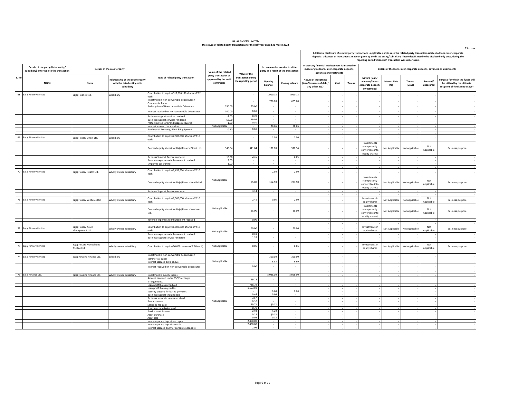|       |                                                                                   |                                           |                                                                                 |                                                                                 | Disclosure of related party transactions for the half-year ended 31 March 2022 | <b>BAJAJ FINSERV LIMITED</b>               |                          |                                                                          |                                                                                                                               |      |        |                                                                           |                                                                         |                         |                       |                                                                                                                                                                                                                                                                                                          |
|-------|-----------------------------------------------------------------------------------|-------------------------------------------|---------------------------------------------------------------------------------|---------------------------------------------------------------------------------|--------------------------------------------------------------------------------|--------------------------------------------|--------------------------|--------------------------------------------------------------------------|-------------------------------------------------------------------------------------------------------------------------------|------|--------|---------------------------------------------------------------------------|-------------------------------------------------------------------------|-------------------------|-----------------------|----------------------------------------------------------------------------------------------------------------------------------------------------------------------------------------------------------------------------------------------------------------------------------------------------------|
|       |                                                                                   |                                           |                                                                                 |                                                                                 |                                                                                |                                            |                          |                                                                          |                                                                                                                               |      |        | reporting period when such transaction was undertaken.                    |                                                                         |                         |                       | ₹ in crore<br>Additional disclosure of related party transactions - applicable only in case the related party transaction relates to loans, inter-corporate<br>deposits, advances or investments made or given by the listed entity/subsidiary. These details need to be disclosed only once, during the |
|       | Details of the party (listed entity/<br>subsidiary) entering into the transaction |                                           | Details of the counterparty                                                     |                                                                                 | Value of the related                                                           | Value of the                               |                          | In case monies are due to either<br>party as a result of the transaction | In case any financial indebtedness is incurred to<br>make or give loans, inter-corporate deposits,<br>advances or investments |      |        |                                                                           | Details of the loans, inter-corporate deposits, advances or investments |                         |                       |                                                                                                                                                                                                                                                                                                          |
| S. No | Name                                                                              | Name                                      | Relationship of the counterparty<br>with the listed entity or its<br>subsidiary | Type of related party transaction                                               | party transaction as<br>approved by the audit<br>committee                     | transaction during<br>the reporting period | Opening<br>balance       | <b>Closing balance</b>                                                   | <b>Nature of indebtness</b><br>(loan/issuance of debt/<br>any other etc.)                                                     | Cost | Tenure | Nature (loan/<br>advance/inter-<br>corporate deposit,<br>investment)      | <b>Interest Rate</b><br>(% )                                            | <b>Tenure</b><br>(Days) | Secured/<br>unsecured | Purpose for which the funds will<br>be utilised by the ultimate<br>recipient of funds (end-usage)                                                                                                                                                                                                        |
| 68    | Bajaj Finserv Limited                                                             | Bajaj Finance Ltd                         | subsidiary                                                                      | Contribution to equity (317,816,130 shares of ₹2<br>each)                       |                                                                                | $\sim$                                     | 1,910.73                 | 1,910.73                                                                 |                                                                                                                               |      |        |                                                                           |                                                                         |                         |                       |                                                                                                                                                                                                                                                                                                          |
|       |                                                                                   |                                           |                                                                                 | nvestment in non-convertible debentures /<br>Commercial Paper                   |                                                                                | $\overline{\phantom{a}}$                   | 720.00                   | 685.00                                                                   |                                                                                                                               |      |        |                                                                           |                                                                         |                         |                       |                                                                                                                                                                                                                                                                                                          |
|       |                                                                                   |                                           |                                                                                 | Redemption of Non-convertible Debenture                                         | 350.00                                                                         | 35.00                                      |                          |                                                                          |                                                                                                                               |      |        |                                                                           |                                                                         |                         |                       |                                                                                                                                                                                                                                                                                                          |
|       |                                                                                   |                                           |                                                                                 | nterest received on non-convertible debentures                                  | 100.00                                                                         | 8.01                                       | $\sim$                   | $\cdot$                                                                  |                                                                                                                               |      |        |                                                                           |                                                                         |                         |                       |                                                                                                                                                                                                                                                                                                          |
|       |                                                                                   |                                           |                                                                                 | Business support services received                                              | 4.00                                                                           | 0.70                                       |                          |                                                                          |                                                                                                                               |      |        |                                                                           |                                                                         |                         |                       |                                                                                                                                                                                                                                                                                                          |
|       |                                                                                   |                                           |                                                                                 | Business support services rendered<br>Protection fee for brand usage recovered  | 53.00<br>1.00                                                                  | 19.07<br>0.30                              | $\sim$                   | $\sim$                                                                   |                                                                                                                               |      |        |                                                                           |                                                                         |                         |                       |                                                                                                                                                                                                                                                                                                          |
|       |                                                                                   |                                           |                                                                                 | Interest accrued but not due                                                    | Not applicable                                                                 |                                            | 20.66                    | 38.65                                                                    |                                                                                                                               |      |        |                                                                           |                                                                         |                         |                       |                                                                                                                                                                                                                                                                                                          |
|       |                                                                                   |                                           |                                                                                 | Purchase of Property, Plant & Equipment                                         | 0.50                                                                           | 0.01                                       |                          |                                                                          |                                                                                                                               |      |        |                                                                           |                                                                         |                         |                       |                                                                                                                                                                                                                                                                                                          |
| 69    | Bajaj Finserv Limited                                                             | Bajaj Finserv Direct Ltd.                 | Subsidiary                                                                      | Contribution to equity (2,500,000 shares of ₹10                                 |                                                                                | $\sim$                                     | 2.50                     | 2.50                                                                     |                                                                                                                               |      |        |                                                                           |                                                                         |                         |                       |                                                                                                                                                                                                                                                                                                          |
|       |                                                                                   |                                           |                                                                                 | each)<br>Deemed equity at cost for Bajaj Finserv Direct Ltd.                    | 346.84                                                                         | 341.84                                     | 181.10                   | 522.94                                                                   |                                                                                                                               |      |        | Investments<br><i>(compulsorily</i><br>convertible into<br>equity shares) | Not Applicable                                                          | Not Applicable          | Not<br>Applicable     | <b>Business purpose</b>                                                                                                                                                                                                                                                                                  |
|       |                                                                                   |                                           |                                                                                 | <b>Business Support Service rendered</b>                                        | 18.00                                                                          | 2.15                                       |                          | 0.06                                                                     |                                                                                                                               |      |        |                                                                           |                                                                         |                         |                       |                                                                                                                                                                                                                                                                                                          |
|       |                                                                                   |                                           |                                                                                 | Revenue expenses reimbursement received<br>Employee car transfer                | 2.00<br>1.00                                                                   |                                            | $\sim$                   |                                                                          |                                                                                                                               |      |        |                                                                           |                                                                         |                         |                       |                                                                                                                                                                                                                                                                                                          |
|       |                                                                                   |                                           |                                                                                 |                                                                                 |                                                                                |                                            |                          |                                                                          |                                                                                                                               |      |        |                                                                           |                                                                         |                         |                       |                                                                                                                                                                                                                                                                                                          |
| 70    | Bajaj Finserv Limited                                                             | Bajaj Finserv Health Ltd.                 | Wholly owned subsidiary                                                         | Contribution to equity (2,499,994 shares of ₹10<br>each)                        |                                                                                | $\overline{\phantom{a}}$                   | 2.50                     | 2.50                                                                     |                                                                                                                               |      |        |                                                                           |                                                                         |                         |                       |                                                                                                                                                                                                                                                                                                          |
|       |                                                                                   |                                           |                                                                                 | Deemed equity at cost for Bajaj Finserv Health Ltd.                             | Not applicable                                                                 | 75.00                                      | 162.50                   | 237.50                                                                   |                                                                                                                               |      |        | Investments<br>(compulsorily<br>convertible into<br>equity shares)        | Not Applicable                                                          | Not Applicable          | Not<br>Applicable     | <b>Business purpose</b>                                                                                                                                                                                                                                                                                  |
|       |                                                                                   |                                           |                                                                                 | <b>Business Support Service rendered</b>                                        |                                                                                | 3.14                                       |                          | $\sim$                                                                   |                                                                                                                               |      |        |                                                                           |                                                                         |                         |                       |                                                                                                                                                                                                                                                                                                          |
| 71    | Bajaj Finserv Limited                                                             | Bajaj Finserv Ventures Ltd.               | Wholly owned subsidiary                                                         | Contribution to equity (2,500,000 shares of ₹10<br>each)                        |                                                                                | 2.45                                       | 0.05                     | 2.50                                                                     |                                                                                                                               |      |        | Investments in<br>equity shares                                           | Not Applicable                                                          | Not Applicable          | Not<br>Annlicable     | <b>Business purpose</b>                                                                                                                                                                                                                                                                                  |
|       |                                                                                   |                                           |                                                                                 | Deemed equity at cost for Bajaj Finserv Ventures<br>Ltd.                        | Not applicable                                                                 | 85.00                                      | $\overline{\phantom{a}}$ | 85.00                                                                    |                                                                                                                               |      |        | Investments<br><i>(compulsorily</i><br>convertible into<br>equity shares) | Not Applicable                                                          | Not Applicable          | Not<br>Applicable     | <b>Business purpose</b>                                                                                                                                                                                                                                                                                  |
|       |                                                                                   |                                           |                                                                                 | Revenue expenses reimbursement received                                         |                                                                                | 0.06                                       |                          |                                                                          |                                                                                                                               |      |        |                                                                           |                                                                         |                         |                       |                                                                                                                                                                                                                                                                                                          |
|       | 72 Bajaj Finserv Limited                                                          | <b>Baiai Finsery Asset</b>                | Wholly owned subsidiary                                                         | Contribution to equity (6,000,000 shares of ₹10<br>each)                        |                                                                                | 60.00                                      |                          | 60.00                                                                    |                                                                                                                               |      |        | <b>Investments in</b>                                                     | Not Applicable                                                          | Not Applicable          | Not<br>Applicable     | <b>Business purpose</b>                                                                                                                                                                                                                                                                                  |
|       |                                                                                   | Management Ltd.                           |                                                                                 | Revenue expenses reimbursement received                                         | Not applicable                                                                 | 0.58                                       | $\sim$                   | $\overline{\phantom{a}}$                                                 |                                                                                                                               |      |        | equity shares                                                             |                                                                         |                         |                       |                                                                                                                                                                                                                                                                                                          |
|       |                                                                                   |                                           |                                                                                 | Business support service rendered                                               |                                                                                | 1.37                                       |                          |                                                                          |                                                                                                                               |      |        |                                                                           |                                                                         |                         |                       |                                                                                                                                                                                                                                                                                                          |
|       | 73 Bajaj Finserv Limited                                                          | Baiai Finsery Mutual fund<br>Trustee Ltd. | Wholly owned subsidiary                                                         | Contribution to equity (50,000 shares of ₹10 each)                              | Not applicable                                                                 | 0.05                                       | $\cdot$                  | 0.05                                                                     |                                                                                                                               |      |        | Investments in<br>equity shares                                           | Not Applicable                                                          | Not Applicable          | Not<br>Applicable     | <b>Business purpose</b>                                                                                                                                                                                                                                                                                  |
|       | 74 Bajaj Finserv Limited                                                          | Bajaj Housing Finance Ltd.                | Subsidiary                                                                      | nvestment in non-convertible debentures /<br>commercial paper                   |                                                                                |                                            | 350.00                   | 350.00                                                                   |                                                                                                                               |      |        |                                                                           |                                                                         |                         |                       |                                                                                                                                                                                                                                                                                                          |
|       |                                                                                   |                                           |                                                                                 | Interest accrued but not due                                                    | Not applicable                                                                 |                                            | 8.82                     | 9.99                                                                     |                                                                                                                               |      |        |                                                                           |                                                                         |                         |                       |                                                                                                                                                                                                                                                                                                          |
|       |                                                                                   |                                           |                                                                                 | nterest received on non-convertible debentures                                  |                                                                                | 9.00                                       | $\cdot$                  | $\cdot$                                                                  |                                                                                                                               |      |        |                                                                           |                                                                         |                         |                       |                                                                                                                                                                                                                                                                                                          |
|       | 75 Bajaj Finance Ltd.                                                             | Bajaj Housing Finance Ltd.                | Wholly owned subsidiary                                                         | Investment in equity shares                                                     |                                                                                |                                            | 5.028.00                 | 5.028.00                                                                 |                                                                                                                               |      |        |                                                                           |                                                                         |                         |                       |                                                                                                                                                                                                                                                                                                          |
|       |                                                                                   |                                           |                                                                                 | Amount received under ESOP recharge                                             |                                                                                | 19.23                                      | $\mathbf{r}$             | $\overline{\phantom{a}}$                                                 |                                                                                                                               |      |        |                                                                           |                                                                         |                         |                       |                                                                                                                                                                                                                                                                                                          |
|       |                                                                                   |                                           |                                                                                 | arrangements<br>Loan portfolio assigned out                                     |                                                                                | 738.79                                     |                          |                                                                          |                                                                                                                               |      |        |                                                                           |                                                                         |                         |                       |                                                                                                                                                                                                                                                                                                          |
|       |                                                                                   |                                           |                                                                                 | Loan portfolio assigned in                                                      |                                                                                | 1,503.69                                   | $\sim$                   | $\sim$                                                                   |                                                                                                                               |      |        |                                                                           |                                                                         |                         |                       |                                                                                                                                                                                                                                                                                                          |
|       |                                                                                   |                                           |                                                                                 | Security deposit for leased premises<br>Business support charges paid           |                                                                                | 0.44                                       | 0.08<br>0.06             | 0.08                                                                     |                                                                                                                               |      |        |                                                                           |                                                                         |                         |                       |                                                                                                                                                                                                                                                                                                          |
|       |                                                                                   |                                           |                                                                                 | Business support charges received                                               |                                                                                | 3.67                                       | $\sim$                   | $\overline{\phantom{a}}$                                                 |                                                                                                                               |      |        |                                                                           |                                                                         |                         |                       |                                                                                                                                                                                                                                                                                                          |
|       |                                                                                   |                                           |                                                                                 | Rent expenses<br>Servicing fee paid                                             | Not applicable                                                                 | 0.10<br>19.71                              | (0.12)                   | $\sim$                                                                   |                                                                                                                               |      |        |                                                                           |                                                                         |                         |                       |                                                                                                                                                                                                                                                                                                          |
|       |                                                                                   |                                           |                                                                                 | Sourcing commission paid                                                        |                                                                                | 0.70                                       |                          |                                                                          |                                                                                                                               |      |        |                                                                           |                                                                         |                         |                       |                                                                                                                                                                                                                                                                                                          |
|       |                                                                                   |                                           |                                                                                 | Service asset income<br>Asset purchase                                          |                                                                                | 2.93<br>0.25                               | 4.29<br>(0.13)           | ٠<br>$\sim$                                                              |                                                                                                                               |      |        |                                                                           |                                                                         |                         |                       |                                                                                                                                                                                                                                                                                                          |
|       |                                                                                   |                                           |                                                                                 | Asset sale                                                                      |                                                                                | 0.03                                       | 0.12                     |                                                                          |                                                                                                                               |      |        |                                                                           |                                                                         |                         |                       |                                                                                                                                                                                                                                                                                                          |
|       |                                                                                   |                                           |                                                                                 | Inter corporate deposits accepted                                               |                                                                                | 2,400.00<br>2,400.00                       | $\sim$                   | $\sim$                                                                   |                                                                                                                               |      |        |                                                                           |                                                                         |                         |                       |                                                                                                                                                                                                                                                                                                          |
|       |                                                                                   |                                           |                                                                                 | Inter corporate deposits repaid<br>Interest accrued on Inter corporate deposits |                                                                                | 2.06                                       |                          |                                                                          |                                                                                                                               |      |        |                                                                           |                                                                         |                         |                       |                                                                                                                                                                                                                                                                                                          |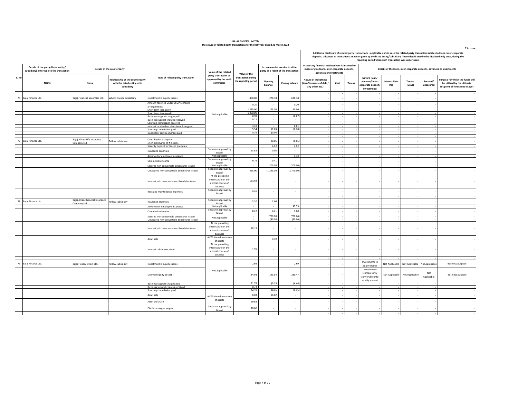|       |                                                                                   |                                                 |                                                                                        |                                                                    | Disclosure of related party transactions for the half-year ended 31 March 2022 | <b>BAJAJ FINSERV LIMITED</b>               |                                            |                                                                          |                                                                                                                                                                                                                                                                                            |        |                                                                      |                                                                         |                               |                       |                                                                                                   |
|-------|-----------------------------------------------------------------------------------|-------------------------------------------------|----------------------------------------------------------------------------------------|--------------------------------------------------------------------|--------------------------------------------------------------------------------|--------------------------------------------|--------------------------------------------|--------------------------------------------------------------------------|--------------------------------------------------------------------------------------------------------------------------------------------------------------------------------------------------------------------------------------------------------------------------------------------|--------|----------------------------------------------------------------------|-------------------------------------------------------------------------|-------------------------------|-----------------------|---------------------------------------------------------------------------------------------------|
|       |                                                                                   |                                                 |                                                                                        |                                                                    |                                                                                |                                            |                                            |                                                                          | Additional disclosure of related party transactions - applicable only in case the related party transaction relates to loans, inter-corporate<br>deposits, advances or investments made or given by the listed entity/subsidiary. These details need to be disclosed only once, during the |        | reporting period when such transaction was undertaken.               |                                                                         |                               |                       | ₹ in crore                                                                                        |
|       | Details of the party (listed entity/<br>subsidiary) entering into the transaction |                                                 | Details of the counterparty                                                            |                                                                    | Value of the related                                                           | Value of the                               |                                            | In case monies are due to either<br>party as a result of the transaction | In case any financial indebtedness is incurred to<br>make or give loans, inter-corporate deposits,<br>advances or investments                                                                                                                                                              |        |                                                                      | Details of the loans, inter-corporate deposits, advances or investments |                               |                       |                                                                                                   |
| S. No | Name                                                                              | Name                                            | <b>Relationship of the counterparty</b><br>with the listed entity or its<br>subsidiary | Type of related party transaction                                  | party transaction as<br>approved by the audit<br>committee                     | transaction during<br>the reporting period | Opening<br>balance                         | <b>Closing balance</b>                                                   | <b>Nature of indebtness</b><br>(loan/issuance of debt/<br>Cost<br>any other etc.)                                                                                                                                                                                                          | Tenure | Nature (loan/<br>advance/inter-<br>corporate deposit/<br>investment) | <b>Interest Rate</b><br>(% )                                            | Tenure<br>(Days)              | Secured/<br>unsecured | Purpose for which the funds will<br>be utilised by the ultimate<br>recipient of funds (end-usage) |
|       | 76 Bajaj Finance Ltd.                                                             | Bajaj Financial Securities Ltd.                 | Wholly owned subsidiary                                                                | nvestment in equity shares                                         |                                                                                | 400.00                                     | 270.38                                     | 670.38                                                                   |                                                                                                                                                                                                                                                                                            |        |                                                                      |                                                                         |                               |                       |                                                                                                   |
|       |                                                                                   |                                                 |                                                                                        | Amount received under ESOP recharge                                |                                                                                | 0.20                                       |                                            | 0.20                                                                     |                                                                                                                                                                                                                                                                                            |        |                                                                      |                                                                         |                               |                       |                                                                                                   |
|       |                                                                                   |                                                 |                                                                                        | arrangements<br>Short term loan given                              |                                                                                | 1,215.00                                   | 125.00                                     | 50.00                                                                    |                                                                                                                                                                                                                                                                                            |        |                                                                      |                                                                         |                               |                       |                                                                                                   |
|       |                                                                                   |                                                 |                                                                                        | Short term loan repaid                                             | Not applicable                                                                 | 1,290.00                                   |                                            |                                                                          |                                                                                                                                                                                                                                                                                            |        |                                                                      |                                                                         |                               |                       |                                                                                                   |
|       |                                                                                   |                                                 |                                                                                        | Business support charges paid                                      |                                                                                | 0.98<br>0.11                               | $\overline{\phantom{a}}$<br>$\overline{a}$ | (0.07)<br>$\sim$                                                         |                                                                                                                                                                                                                                                                                            |        |                                                                      |                                                                         |                               |                       |                                                                                                   |
|       |                                                                                   |                                                 |                                                                                        | Business support charges received<br>Sourcing commission received  |                                                                                |                                            |                                            |                                                                          |                                                                                                                                                                                                                                                                                            |        |                                                                      |                                                                         |                               |                       |                                                                                                   |
|       |                                                                                   |                                                 |                                                                                        | Interest received on short term loan given                         |                                                                                | 3.49<br>5.54                               | $\sim$<br>(1.83)                           | 0.01<br>(0.28)                                                           |                                                                                                                                                                                                                                                                                            |        |                                                                      |                                                                         |                               |                       |                                                                                                   |
|       |                                                                                   |                                                 |                                                                                        | Sourcing commission paid<br>Depository service charges paid        |                                                                                | 0.16                                       | (0.04)                                     |                                                                          |                                                                                                                                                                                                                                                                                            |        |                                                                      | $\sim$                                                                  |                               |                       |                                                                                                   |
|       |                                                                                   |                                                 |                                                                                        |                                                                    |                                                                                |                                            |                                            |                                                                          |                                                                                                                                                                                                                                                                                            |        |                                                                      |                                                                         |                               |                       |                                                                                                   |
|       | 77 Bajaj Finance Ltd.                                                             | Bajaj Allianz Life Insurance<br>Company Ltd.    | Fellow subsidiary                                                                      | Contribution to equity<br>(2,47,000 shares of ₹2 each)             |                                                                                | $\overline{\phantom{a}}$                   | (0.05)                                     | (0.05)                                                                   |                                                                                                                                                                                                                                                                                            |        |                                                                      |                                                                         |                               |                       |                                                                                                   |
|       |                                                                                   |                                                 |                                                                                        | Security deposit for leased premises                               |                                                                                |                                            | 1.53                                       | 1.53                                                                     |                                                                                                                                                                                                                                                                                            |        |                                                                      |                                                                         |                               |                       |                                                                                                   |
|       |                                                                                   |                                                 |                                                                                        | Insurance expenses                                                 | Separate approval by<br>Board                                                  | 23.84                                      | 0.03                                       | $\sim$                                                                   |                                                                                                                                                                                                                                                                                            |        |                                                                      |                                                                         |                               |                       |                                                                                                   |
|       |                                                                                   |                                                 |                                                                                        | Advance for employee insurance                                     | Not applicable                                                                 |                                            |                                            | 1.18                                                                     |                                                                                                                                                                                                                                                                                            |        |                                                                      |                                                                         |                               |                       |                                                                                                   |
|       |                                                                                   |                                                 |                                                                                        | Commission income                                                  | Separate approval by<br>Board                                                  | 9.76                                       | 0.41                                       | $\cdot$                                                                  |                                                                                                                                                                                                                                                                                            |        |                                                                      |                                                                         |                               |                       |                                                                                                   |
|       |                                                                                   |                                                 |                                                                                        | Secured non-convertible debentures issued                          | Not applicable                                                                 |                                            | (200.00)                                   | (200.00)                                                                 |                                                                                                                                                                                                                                                                                            |        |                                                                      |                                                                         |                               |                       |                                                                                                   |
|       |                                                                                   |                                                 |                                                                                        | Unsecured non-convertible debentures issued                        | Separate approval by<br>Board                                                  | 425.00                                     | (1,345.00)                                 | (1,770.00)                                                               |                                                                                                                                                                                                                                                                                            |        |                                                                      |                                                                         |                               |                       |                                                                                                   |
|       |                                                                                   |                                                 |                                                                                        | Interest paid on non-convertible debentures                        | At the prevailing<br>interest rate in the<br>normal course of                  | 133.92                                     |                                            | $\overline{\phantom{a}}$                                                 |                                                                                                                                                                                                                                                                                            |        |                                                                      |                                                                         |                               |                       |                                                                                                   |
|       |                                                                                   |                                                 |                                                                                        | Rent and maintenance expenses                                      | business<br>Separate approval by<br>Board                                      | 0.91                                       | $\overline{\phantom{a}}$                   | $\overline{\phantom{a}}$                                                 |                                                                                                                                                                                                                                                                                            |        |                                                                      |                                                                         |                               |                       |                                                                                                   |
|       |                                                                                   |                                                 |                                                                                        |                                                                    |                                                                                |                                            |                                            |                                                                          |                                                                                                                                                                                                                                                                                            |        |                                                                      |                                                                         |                               |                       |                                                                                                   |
|       | 78 Bajaj Finance Ltd.                                                             | Bajaj Allianz General Insurance<br>Company Ltd. | Fellow subsidiary                                                                      | nsurance expenses                                                  | Separate approval by<br>Board                                                  | 3.20                                       | 1.00                                       | $\sim$                                                                   |                                                                                                                                                                                                                                                                                            |        |                                                                      |                                                                         |                               |                       |                                                                                                   |
|       |                                                                                   |                                                 |                                                                                        | Advance for employee insurance                                     | Not applicable                                                                 |                                            |                                            | 47.55                                                                    |                                                                                                                                                                                                                                                                                            |        |                                                                      |                                                                         |                               |                       |                                                                                                   |
|       |                                                                                   |                                                 |                                                                                        | Commission income                                                  | Separate approval by<br>Board                                                  | 8.22                                       | 0.21                                       | 1.00                                                                     |                                                                                                                                                                                                                                                                                            |        |                                                                      |                                                                         |                               |                       |                                                                                                   |
|       |                                                                                   |                                                 |                                                                                        | Secured non-convertible debentures issued                          | Not applicable                                                                 |                                            | (760.00)                                   | (760.00)                                                                 |                                                                                                                                                                                                                                                                                            |        |                                                                      |                                                                         |                               |                       |                                                                                                   |
|       |                                                                                   |                                                 |                                                                                        | Insecured non-convertible debentures issued                        | At the prevailing                                                              |                                            | (40.00)                                    | (40.00)                                                                  |                                                                                                                                                                                                                                                                                            |        |                                                                      |                                                                         |                               |                       |                                                                                                   |
|       |                                                                                   |                                                 |                                                                                        | Interest paid on non-convertible debentures                        | interest rate in the<br>normal course of<br>business                           | 28.19                                      |                                            | ٠                                                                        |                                                                                                                                                                                                                                                                                            |        |                                                                      |                                                                         |                               |                       |                                                                                                   |
|       |                                                                                   |                                                 |                                                                                        | Asset sale                                                         | At Written down value<br>of assets                                             | $\overline{\phantom{a}}$                   | 0.10                                       | $\overline{\phantom{a}}$                                                 |                                                                                                                                                                                                                                                                                            |        |                                                                      |                                                                         |                               |                       |                                                                                                   |
|       |                                                                                   |                                                 |                                                                                        | Interest subsidy received                                          | At the prevailing<br>interest rate in the<br>normal course of<br>business      | 1.95                                       |                                            | ÷                                                                        |                                                                                                                                                                                                                                                                                            |        |                                                                      |                                                                         |                               |                       |                                                                                                   |
|       |                                                                                   |                                                 |                                                                                        |                                                                    |                                                                                |                                            |                                            |                                                                          |                                                                                                                                                                                                                                                                                            |        | Investments in                                                       |                                                                         |                               |                       |                                                                                                   |
|       | 79 Bajaj Finance Ltd.                                                             | Bajaj Finserv Direct Ltd.                       | Fellow subsidiary                                                                      | nvestment in equity shares                                         |                                                                                | 2.69                                       |                                            | 2.69                                                                     |                                                                                                                                                                                                                                                                                            |        | equity shares                                                        | Not Applicable                                                          | Not Applicable Not Applicable |                       | <b>Business purpose</b>                                                                           |
|       |                                                                                   |                                                 |                                                                                        | Deemed equity at cost                                              | Not applicable                                                                 | 84.93<br>21.78                             | 195.54<br>(0.15)                           | 280.47<br>(4.44)                                                         |                                                                                                                                                                                                                                                                                            |        | Investments<br>(compulsorily<br>convertible into<br>equity shares)   | Not Applicable                                                          | Not Applicable                | Not<br>Applicable     | <b>Business purpose</b>                                                                           |
|       |                                                                                   |                                                 |                                                                                        | Business support charges paid<br>Business support charges received |                                                                                | 0.74                                       |                                            |                                                                          |                                                                                                                                                                                                                                                                                            |        |                                                                      |                                                                         |                               |                       |                                                                                                   |
|       |                                                                                   |                                                 |                                                                                        | Sourcing commission paid                                           |                                                                                | 42.49                                      | (0.15)                                     | (9.16)                                                                   |                                                                                                                                                                                                                                                                                            |        |                                                                      |                                                                         |                               |                       |                                                                                                   |
|       |                                                                                   |                                                 |                                                                                        | Asset sale                                                         | At Written down value                                                          | 0.03                                       | (0.02)                                     | $\cdot$                                                                  |                                                                                                                                                                                                                                                                                            |        |                                                                      |                                                                         |                               |                       |                                                                                                   |
|       |                                                                                   |                                                 |                                                                                        | Asset purchase                                                     | of assets                                                                      | 29.68                                      | $\overline{\phantom{a}}$                   | $\sim$                                                                   |                                                                                                                                                                                                                                                                                            |        |                                                                      |                                                                         |                               |                       |                                                                                                   |
|       |                                                                                   |                                                 |                                                                                        | Platform usage charges                                             | Separate approval by<br>Board                                                  | 18.86                                      |                                            | $\overline{\phantom{a}}$                                                 |                                                                                                                                                                                                                                                                                            |        |                                                                      |                                                                         |                               |                       |                                                                                                   |
|       |                                                                                   |                                                 |                                                                                        |                                                                    |                                                                                |                                            |                                            |                                                                          |                                                                                                                                                                                                                                                                                            |        |                                                                      |                                                                         |                               |                       |                                                                                                   |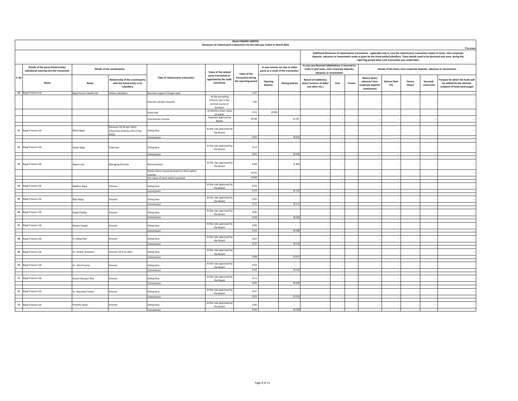|       | <b>BAJAJ FINSERV LIMITED</b><br>Disclosure of related party transactions for the half-year ended 31 March 2022 |                           |                                                                                 |                                                         |                                                                           |                                            |                          |                                                                          |                                                                                                                               |      |        |                                                                      |                              |                  |                       |                                                                                                                                                                                                                                                                                                          |
|-------|----------------------------------------------------------------------------------------------------------------|---------------------------|---------------------------------------------------------------------------------|---------------------------------------------------------|---------------------------------------------------------------------------|--------------------------------------------|--------------------------|--------------------------------------------------------------------------|-------------------------------------------------------------------------------------------------------------------------------|------|--------|----------------------------------------------------------------------|------------------------------|------------------|-----------------------|----------------------------------------------------------------------------------------------------------------------------------------------------------------------------------------------------------------------------------------------------------------------------------------------------------|
|       |                                                                                                                |                           |                                                                                 |                                                         |                                                                           |                                            |                          |                                                                          |                                                                                                                               |      |        | reporting period when such transaction was undertaken.               |                              |                  |                       | ₹ in crore<br>Additional disclosure of related party transactions - applicable only in case the related party transaction relates to loans, inter-corporate<br>deposits, advances or investments made or given by the listed entity/subsidiary. These details need to be disclosed only once, during the |
|       | Details of the party (listed entity/<br>subsidiary) entering into the transaction                              |                           | Details of the counterparty                                                     |                                                         | Value of the related                                                      | Value of the                               |                          | In case monies are due to either<br>party as a result of the transaction | In case any financial indebtedness is incurred to<br>make or give loans, inter-corporate deposits,<br>advances or investments |      |        |                                                                      |                              |                  |                       | Details of the loans, inter-corporate deposits, advances or investments                                                                                                                                                                                                                                  |
| S. No | Name                                                                                                           | Name                      | Relationship of the counterparty<br>with the listed entity or its<br>subsidiary | Type of related party transaction                       | party transaction as<br>approved by the audit<br>committee                | transaction during<br>the reporting period | Opening<br>balance       | <b>Closing balance</b>                                                   | Nature of indebtness<br>(loan/issuance of debt/<br>any other etc.)                                                            | Cost | Tenure | Nature (loan/<br>advance/inter-<br>corporate deposit/<br>investment) | <b>Interest Rate</b><br>(% ) | Tenure<br>(Days) | Secured/<br>unsecured | Purpose for which the funds will<br>be utilised by the ultimate<br>recipient of funds (end-usage)                                                                                                                                                                                                        |
|       | 80 Bajaj Finance Ltd.                                                                                          | Bajaj Finserv Health Ltd. | Fellow subsidiary                                                               | Business support charges paid                           |                                                                           | 1.67                                       |                          | $\sim$                                                                   |                                                                                                                               |      |        |                                                                      |                              |                  |                       |                                                                                                                                                                                                                                                                                                          |
|       |                                                                                                                |                           |                                                                                 | Interest subsidy received                               | At the prevailing<br>interest rate in the<br>normal course of<br>business | 1.46                                       |                          |                                                                          |                                                                                                                               |      |        |                                                                      |                              |                  |                       |                                                                                                                                                                                                                                                                                                          |
|       |                                                                                                                |                           |                                                                                 | Asset sale                                              | At Written down value<br>of assets                                        | 0.12                                       | (0.03)                   | $\overline{\phantom{a}}$                                                 |                                                                                                                               |      |        |                                                                      |                              |                  |                       |                                                                                                                                                                                                                                                                                                          |
|       |                                                                                                                |                           |                                                                                 | Commission income                                       | Separate approval by<br>Board                                             | 39.38                                      |                          | 12.30                                                                    |                                                                                                                               |      |        |                                                                      |                              |                  |                       |                                                                                                                                                                                                                                                                                                          |
|       |                                                                                                                |                           | (Director till 30 Apr 2021)                                                     |                                                         |                                                                           |                                            |                          |                                                                          |                                                                                                                               |      |        |                                                                      |                              |                  |                       |                                                                                                                                                                                                                                                                                                          |
|       | 81 Bajaj Finance Ltd.                                                                                          | Rahul Bajaj               | Chairman Emeritus till 12 Feb<br>2022)                                          | <b>Sitting fees</b>                                     | At the rate approved by<br>the Board                                      |                                            |                          |                                                                          |                                                                                                                               |      |        |                                                                      |                              |                  |                       |                                                                                                                                                                                                                                                                                                          |
|       |                                                                                                                |                           |                                                                                 | Commission                                              |                                                                           | 0.02                                       | $\sim$                   | (0.02)                                                                   |                                                                                                                               |      |        |                                                                      |                              |                  |                       |                                                                                                                                                                                                                                                                                                          |
|       | 82 Bajaj Finance Ltd.                                                                                          | Sanjiv Bajaj              | Chairman                                                                        | <b>Sitting fees</b>                                     | At the rate approved by<br>the Board                                      | 0.13                                       |                          |                                                                          |                                                                                                                               |      |        |                                                                      |                              |                  |                       |                                                                                                                                                                                                                                                                                                          |
|       |                                                                                                                |                           |                                                                                 | Commission                                              |                                                                           | 0.61                                       | $\sim$                   | (0.54)                                                                   |                                                                                                                               |      |        |                                                                      |                              |                  |                       |                                                                                                                                                                                                                                                                                                          |
|       | 83 Bajaj Finance Ltd.                                                                                          | Rajeev Jain               | <b>Managing Director</b>                                                        | Remuneration                                            | At the rate approved by<br>the Board                                      | 8.84                                       |                          | (1.66)                                                                   |                                                                                                                               |      |        |                                                                      |                              |                  |                       |                                                                                                                                                                                                                                                                                                          |
|       |                                                                                                                |                           |                                                                                 | Equity shares issued pursuant to stock option<br>scheme |                                                                           | 10.55                                      | $\cdot$                  | $\cdot$                                                                  |                                                                                                                               |      |        |                                                                      |                              |                  |                       |                                                                                                                                                                                                                                                                                                          |
|       |                                                                                                                |                           |                                                                                 | Fair value of stock options granted                     |                                                                           | 10.08                                      |                          | $\sim$                                                                   |                                                                                                                               |      |        |                                                                      |                              |                  |                       |                                                                                                                                                                                                                                                                                                          |
|       | 84 Bajaj Finance Ltd.                                                                                          | Madhur Bajaj              | Director                                                                        | <b>Sitting fees</b>                                     | At the rate approved by                                                   | 0.03                                       |                          | $\overline{\phantom{a}}$                                                 |                                                                                                                               |      |        |                                                                      |                              |                  |                       |                                                                                                                                                                                                                                                                                                          |
|       |                                                                                                                |                           |                                                                                 | Commission                                              | the Board                                                                 | 0.15                                       | $\sim$                   | (0.13)                                                                   |                                                                                                                               |      |        |                                                                      |                              |                  |                       |                                                                                                                                                                                                                                                                                                          |
|       | 85 Bajaj Finance Ltd.                                                                                          | Rajiv Bajaj               | Director                                                                        | <b>Sitting fees</b>                                     | At the rate approved by<br>the Board                                      | 0.02                                       |                          |                                                                          |                                                                                                                               |      |        |                                                                      |                              |                  |                       |                                                                                                                                                                                                                                                                                                          |
|       |                                                                                                                |                           |                                                                                 | Commission                                              |                                                                           | 0.12                                       | $\sim$                   | (0.11)                                                                   |                                                                                                                               |      |        |                                                                      |                              |                  |                       |                                                                                                                                                                                                                                                                                                          |
|       | 86 Bajaj Finance Ltd.                                                                                          | Dipak Poddar              | Director                                                                        | <b>Sitting fees</b>                                     | At the rate approved by                                                   | 0.06                                       | $\sim$                   | $\overline{\phantom{a}}$                                                 |                                                                                                                               |      |        |                                                                      |                              |                  |                       |                                                                                                                                                                                                                                                                                                          |
|       |                                                                                                                |                           |                                                                                 | Commission                                              | the Board                                                                 | 0.29                                       | $\sim$                   | (0.26)                                                                   |                                                                                                                               |      |        |                                                                      |                              |                  |                       |                                                                                                                                                                                                                                                                                                          |
|       | 87 Bajaj Finance Ltd.                                                                                          | Ranjan Sanghi             | Director                                                                        | <b>Sitting fees</b>                                     | At the rate approved by                                                   | 0.06                                       |                          | $\cdot$                                                                  |                                                                                                                               |      |        |                                                                      |                              |                  |                       |                                                                                                                                                                                                                                                                                                          |
|       |                                                                                                                |                           |                                                                                 | Commission                                              | the Board                                                                 | 0.31                                       |                          | (0.28)                                                                   |                                                                                                                               |      |        |                                                                      |                              |                  |                       |                                                                                                                                                                                                                                                                                                          |
|       |                                                                                                                |                           |                                                                                 |                                                         | At the rate approved by                                                   |                                            |                          |                                                                          |                                                                                                                               |      |        |                                                                      |                              |                  |                       |                                                                                                                                                                                                                                                                                                          |
|       | 88 Bajaj Finance Ltd.                                                                                          | D J Balaji Rao            | Director                                                                        | <b>Sitting fees</b>                                     | the Board                                                                 | 0.03<br>0.15                               | $\sim$                   | $\overline{\phantom{a}}$<br>(0.13)                                       |                                                                                                                               |      |        |                                                                      |                              |                  |                       |                                                                                                                                                                                                                                                                                                          |
|       |                                                                                                                |                           |                                                                                 | Commission                                              |                                                                           |                                            |                          |                                                                          |                                                                                                                               |      |        |                                                                      |                              |                  |                       |                                                                                                                                                                                                                                                                                                          |
| 89    | Bajaj Finance Ltd.                                                                                             | Dr. Omkar Goswami         | Director till 9 Jul 2021                                                        | <b>Sitting fees</b>                                     | At the rate approved by<br>the Board                                      |                                            |                          |                                                                          |                                                                                                                               |      |        |                                                                      |                              |                  |                       |                                                                                                                                                                                                                                                                                                          |
|       |                                                                                                                |                           |                                                                                 | Commission                                              |                                                                           | 0.08                                       |                          | (0.07)                                                                   |                                                                                                                               |      |        |                                                                      |                              |                  |                       |                                                                                                                                                                                                                                                                                                          |
|       | 90 Bajaj Finance Ltd.                                                                                          | Dr. Gita Piramal          | Director                                                                        | <b>Sitting fees</b>                                     | At the rate approved by<br>the Board                                      | 0.03                                       |                          | $\overline{\phantom{a}}$                                                 |                                                                                                                               |      |        |                                                                      |                              |                  |                       |                                                                                                                                                                                                                                                                                                          |
|       |                                                                                                                |                           |                                                                                 | Commission                                              |                                                                           | 0.15                                       | $\sim$                   | (0.13)                                                                   |                                                                                                                               |      |        |                                                                      |                              |                  |                       |                                                                                                                                                                                                                                                                                                          |
|       | 91 Bajaj Finance Ltd.                                                                                          | Anami Narayan Roy         | Director                                                                        | <b>Sitting fees</b>                                     | At the rate approved by<br>the Board                                      | 0.11                                       | $\overline{\phantom{a}}$ | $\overline{\phantom{a}}$                                                 |                                                                                                                               |      |        |                                                                      |                              |                  |                       |                                                                                                                                                                                                                                                                                                          |
|       |                                                                                                                |                           |                                                                                 | Commission                                              |                                                                           | 0.49                                       |                          | (0.44)                                                                   |                                                                                                                               |      |        |                                                                      |                              |                  |                       |                                                                                                                                                                                                                                                                                                          |
|       | 92 Bajaj Finance Ltd.                                                                                          | Dr. Naushad Forbes        | Director                                                                        | <b>Sitting fees</b>                                     | At the rate approved by<br>the Board                                      | 0.07                                       |                          | $\overline{\phantom{a}}$                                                 |                                                                                                                               |      |        |                                                                      |                              |                  |                       |                                                                                                                                                                                                                                                                                                          |
|       |                                                                                                                |                           |                                                                                 | Commission                                              |                                                                           | 0.34                                       |                          | (0.31)                                                                   |                                                                                                                               |      |        |                                                                      |                              |                  |                       |                                                                                                                                                                                                                                                                                                          |
|       | 93 Bajaj Finance Ltd.                                                                                          | Pramith Javeri            | Director                                                                        | <b>Sitting fees</b>                                     | At the rate approved by                                                   | 0.06                                       |                          | $\overline{\phantom{a}}$                                                 |                                                                                                                               |      |        |                                                                      |                              |                  |                       |                                                                                                                                                                                                                                                                                                          |
|       |                                                                                                                |                           |                                                                                 | Commission                                              | the Board                                                                 | 0.20                                       |                          | (0.18)                                                                   |                                                                                                                               |      |        |                                                                      |                              |                  |                       |                                                                                                                                                                                                                                                                                                          |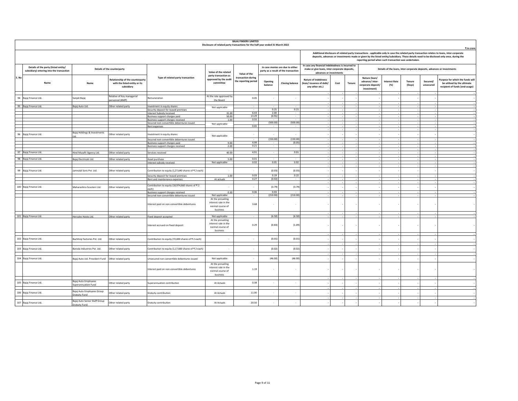|       |                                                                                   |                                                       |                                                                                        |                                                                                | Disclosure of related party transactions for the half-year ended 31 March 2022 | <b>BAJAJ FINSERV LIMITED</b>               |                              |                                                                          |                                                                                                                               |      |        |                                                                      |                              |                  |                       | ₹ in crore                                                                                                                                                                                                                                                                                 |
|-------|-----------------------------------------------------------------------------------|-------------------------------------------------------|----------------------------------------------------------------------------------------|--------------------------------------------------------------------------------|--------------------------------------------------------------------------------|--------------------------------------------|------------------------------|--------------------------------------------------------------------------|-------------------------------------------------------------------------------------------------------------------------------|------|--------|----------------------------------------------------------------------|------------------------------|------------------|-----------------------|--------------------------------------------------------------------------------------------------------------------------------------------------------------------------------------------------------------------------------------------------------------------------------------------|
|       |                                                                                   |                                                       |                                                                                        |                                                                                |                                                                                |                                            |                              |                                                                          |                                                                                                                               |      |        | reporting period when such transaction was undertaken.               |                              |                  |                       | Additional disclosure of related party transactions - applicable only in case the related party transaction relates to loans, inter-corporate<br>deposits, advances or investments made or given by the listed entity/subsidiary. These details need to be disclosed only once, during the |
|       | Details of the party (listed entity/<br>subsidiary) entering into the transaction |                                                       | Details of the counterparty                                                            |                                                                                | Value of the related<br>party transaction as                                   | Value of the                               |                              | In case monies are due to either<br>party as a result of the transaction | In case any financial indebtedness is incurred to<br>make or give loans, inter-corporate deposits,<br>advances or investments |      |        |                                                                      |                              |                  |                       | Details of the loans, inter-corporate deposits, advances or investments                                                                                                                                                                                                                    |
| S. No | Name                                                                              | Name                                                  | <b>Relationship of the counterparty</b><br>with the listed entity or its<br>subsidiary | Type of related party transaction                                              | approved by the audit<br>committee                                             | transaction during<br>the reporting period | Opening<br>balance           | <b>Closing balance</b>                                                   | <b>Nature of indebtness</b><br>(loan/issuance of debt/<br>any other etc.)                                                     | Cost | Tenure | Nature (loan/<br>advance/inter-<br>corporate deposit/<br>investment) | <b>Interest Rate</b><br>(% ) | Tenure<br>(Days) | Secured/<br>unsecured | Purpose for which the funds will<br>be utilised by the ultimate<br>recipient of funds (end-usage)                                                                                                                                                                                          |
|       | 94 Bajaj Finance Ltd.                                                             | Sanjali Bajaj                                         | Relative of Key managerial<br>ersonnel (KMP)                                           | temuneration                                                                   | At the rate approved by<br>the Board                                           | 0.05                                       | $\overline{\phantom{a}}$     | $\cdot$                                                                  |                                                                                                                               |      |        |                                                                      |                              |                  |                       |                                                                                                                                                                                                                                                                                            |
|       | 95 Bajaj Finance Ltd.                                                             | Bajaj Auto Ltd.                                       | Other related party                                                                    | Investment in equity shares<br>Security deposit for leased premises            | Not applicable                                                                 |                                            | 0.21                         | 0.21                                                                     |                                                                                                                               |      |        |                                                                      |                              |                  |                       |                                                                                                                                                                                                                                                                                            |
|       |                                                                                   |                                                       |                                                                                        | <b>Interest Subsidy received</b><br>Business support charges paid              | 31.00<br>50.00                                                                 | 6.43<br>13.29                              | 2.00<br>(0.91)               | $\sim$<br>$\sim$                                                         |                                                                                                                               |      |        |                                                                      |                              |                  |                       |                                                                                                                                                                                                                                                                                            |
|       |                                                                                   |                                                       |                                                                                        | Business support charges received<br>Secured non-convertible debentures issued | 1.00<br>Not applicable                                                         | 0.55                                       | $\sim$<br>(500.00)           | (500.00)                                                                 |                                                                                                                               |      |        |                                                                      |                              |                  |                       |                                                                                                                                                                                                                                                                                            |
|       |                                                                                   |                                                       |                                                                                        | Rent expenses                                                                  |                                                                                | 0.65                                       |                              |                                                                          |                                                                                                                               |      |        |                                                                      |                              |                  |                       |                                                                                                                                                                                                                                                                                            |
|       | 96 Bajaj Finance Ltd.                                                             | Bajaj Holdings & Investments                          | Other related party                                                                    | Investment in equity shares                                                    |                                                                                |                                            |                              | $\overline{\phantom{a}}$                                                 |                                                                                                                               |      |        |                                                                      |                              |                  |                       |                                                                                                                                                                                                                                                                                            |
|       |                                                                                   |                                                       |                                                                                        | Secured non-convertible debentures issued                                      | Not applicable                                                                 |                                            | (150.00)                     | (150.00)                                                                 |                                                                                                                               |      |        |                                                                      |                              |                  |                       |                                                                                                                                                                                                                                                                                            |
|       |                                                                                   |                                                       |                                                                                        | Business support charges paid<br>Business support charges received             | 9.00<br>2.00                                                                   | 4.99<br>0.21                               |                              | (0.05)                                                                   |                                                                                                                               |      |        |                                                                      |                              |                  |                       |                                                                                                                                                                                                                                                                                            |
|       | 97 Bajaj Finance Ltd.                                                             |                                                       |                                                                                        |                                                                                | 40.00                                                                          | 4.91                                       | $\sim$                       | 0.01                                                                     |                                                                                                                               |      |        |                                                                      |                              |                  |                       |                                                                                                                                                                                                                                                                                            |
|       |                                                                                   | Hind Musafir Agency Ltd.                              | Other related party                                                                    | Services received                                                              |                                                                                |                                            |                              |                                                                          |                                                                                                                               |      |        |                                                                      |                              |                  |                       |                                                                                                                                                                                                                                                                                            |
|       | 98 Bajaj Finance Ltd.                                                             | Bajaj Electricals Ltd.                                | Other related party                                                                    | Asset purchase<br>Interest subsidy received                                    | 5.00<br>Not applicable                                                         | 0.01<br>0.02                               | $\ddot{\phantom{0}}$<br>0.01 | 0.02                                                                     |                                                                                                                               |      |        |                                                                      |                              |                  |                       |                                                                                                                                                                                                                                                                                            |
|       |                                                                                   |                                                       |                                                                                        |                                                                                |                                                                                |                                            |                              |                                                                          |                                                                                                                               |      |        |                                                                      |                              |                  |                       |                                                                                                                                                                                                                                                                                            |
|       | 99 Bajaj Finance Ltd.                                                             | Jamnalal Sons Pvt. Ltd.                               | Other related party                                                                    | Contribution to equity (1,27,640 shares of ₹2 each)                            |                                                                                |                                            | (0.03)                       | (0.03)                                                                   |                                                                                                                               |      |        |                                                                      |                              |                  |                       |                                                                                                                                                                                                                                                                                            |
|       |                                                                                   |                                                       |                                                                                        | Security deposit for leased premises<br>Rent and maintenance expenses          | 1.00<br>At actuals                                                             | 0.03<br>0.27                               | 0.19<br>(0.02)               | 0.22<br>$\sim$                                                           |                                                                                                                               |      |        |                                                                      |                              |                  |                       |                                                                                                                                                                                                                                                                                            |
|       | 100 Bajaj Finance Ltd.                                                            | Maharashtra Scooters Ltd.                             | Other related party                                                                    | Contribution to equity (18,974,660 shares of ₹ 2                               |                                                                                |                                            | (3.79)                       | (3.79)                                                                   |                                                                                                                               |      |        |                                                                      |                              |                  |                       |                                                                                                                                                                                                                                                                                            |
|       |                                                                                   |                                                       |                                                                                        | each)<br>Business support charges received                                     | 0.30                                                                           | 0.06                                       | 0.03                         | $\sim$                                                                   |                                                                                                                               |      |        |                                                                      |                              |                  |                       |                                                                                                                                                                                                                                                                                            |
|       |                                                                                   |                                                       |                                                                                        | Secured non-convertible debentures issued                                      | Not applicable<br>At the prevailing                                            |                                            | (210.00)                     | (210.00)                                                                 |                                                                                                                               |      |        |                                                                      |                              |                  |                       |                                                                                                                                                                                                                                                                                            |
|       |                                                                                   |                                                       |                                                                                        | Interest paid on non-convertible debentures                                    | interest rate in the<br>normal course of<br>business                           | 3.68                                       |                              | $\overline{\phantom{a}}$                                                 |                                                                                                                               |      |        |                                                                      |                              |                  |                       |                                                                                                                                                                                                                                                                                            |
|       | 101 Bajaj Finance Ltd.                                                            | Hercules Hoists Ltd.                                  | Other related party                                                                    | Fixed deposit accepted                                                         | Not applicable                                                                 |                                            | (6.50)                       | (6.50)                                                                   |                                                                                                                               |      |        |                                                                      |                              |                  |                       |                                                                                                                                                                                                                                                                                            |
|       |                                                                                   |                                                       |                                                                                        | Interest accrued on fixed deposit                                              | At the prevailing<br>interest rate in the<br>normal course of<br>business      | 0.29                                       | (0.83)                       | (1.09)                                                                   |                                                                                                                               |      |        |                                                                      |                              |                  |                       |                                                                                                                                                                                                                                                                                            |
|       | 102 Bajaj Finance Ltd.                                                            | Bachhraj Factories Pvt. Ltd.                          | Other related party                                                                    | Contribution to equity (72,000 shares of ₹2 each)                              |                                                                                |                                            | (0.01)                       | (0.01)                                                                   |                                                                                                                               |      |        |                                                                      |                              |                  |                       |                                                                                                                                                                                                                                                                                            |
|       |                                                                                   |                                                       |                                                                                        |                                                                                |                                                                                |                                            |                              |                                                                          |                                                                                                                               |      |        |                                                                      |                              |                  |                       |                                                                                                                                                                                                                                                                                            |
|       | 103 Bajaj Finance Ltd.                                                            | Baroda Industries Pvt. Ltd.                           | Other related party                                                                    | Contribution to equity (1,17,600 shares of ₹ 2 each)                           |                                                                                | $\cdot$                                    | (0.02)                       | (0.02)                                                                   |                                                                                                                               |      |        |                                                                      |                              |                  |                       |                                                                                                                                                                                                                                                                                            |
|       | 104 Bajaj Finance Ltd.                                                            | Bajaj Auto Ltd. Provident Fund                        | Other related party                                                                    | Insecured non-convertible debentures issued                                    | Not applicable                                                                 | $\overline{\phantom{a}}$                   | (46.00)                      | (46.00)                                                                  |                                                                                                                               |      |        |                                                                      |                              |                  |                       |                                                                                                                                                                                                                                                                                            |
|       |                                                                                   |                                                       |                                                                                        | nterest paid on non-convertible debentures                                     | At the prevailing<br>interest rate in the<br>normal course of<br>business      | 1.19                                       |                              |                                                                          |                                                                                                                               |      |        |                                                                      |                              |                  |                       |                                                                                                                                                                                                                                                                                            |
|       | 105 Bajaj Finance Ltd.                                                            | Bajaj Auto Employees<br>Superannuation Fund           | Other related party                                                                    | Superannuation contribution                                                    | At Actuals                                                                     | 0.38                                       |                              | $\overline{\phantom{a}}$                                                 |                                                                                                                               |      |        |                                                                      |                              |                  |                       |                                                                                                                                                                                                                                                                                            |
|       | 106 Bajaj Finance Ltd.                                                            | Bajaj Auto Employees Group<br>Gratuity Fund           | Other related party                                                                    | Gratuity contribution                                                          | At Actuals                                                                     | 11.00                                      |                              | $\overline{\phantom{a}}$                                                 |                                                                                                                               |      |        |                                                                      |                              |                  |                       |                                                                                                                                                                                                                                                                                            |
|       | 107 Bajaj Finance Ltd.                                                            | Bajaj Auto Senior Staff Group<br><b>Gratuity Fund</b> | Other related party                                                                    | Gratuity contribution                                                          | At Actuals                                                                     | 20.50                                      |                              | $\overline{\phantom{a}}$                                                 |                                                                                                                               |      |        |                                                                      |                              |                  |                       |                                                                                                                                                                                                                                                                                            |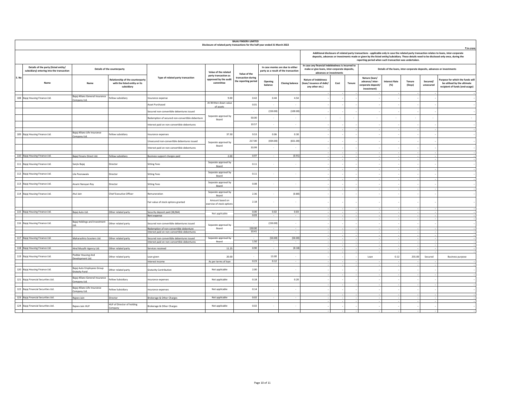|       | <b>BAJAJ FINSERV LIMITED</b><br>Disclosure of related party transactions for the half-year ended 31 March 2022<br>₹ in crore<br>Additional disclosure of related party transactions - applicable only in case the related party transaction relates to loans, inter-corporate |                                                |                                                                                        |                                                                                       |                                                            |                                            |                          |                                                                          |                                                                                                                               |        |                          |                                                                      |                                                                         |                  |                       |                                                                                                                                           |
|-------|-------------------------------------------------------------------------------------------------------------------------------------------------------------------------------------------------------------------------------------------------------------------------------|------------------------------------------------|----------------------------------------------------------------------------------------|---------------------------------------------------------------------------------------|------------------------------------------------------------|--------------------------------------------|--------------------------|--------------------------------------------------------------------------|-------------------------------------------------------------------------------------------------------------------------------|--------|--------------------------|----------------------------------------------------------------------|-------------------------------------------------------------------------|------------------|-----------------------|-------------------------------------------------------------------------------------------------------------------------------------------|
|       |                                                                                                                                                                                                                                                                               |                                                |                                                                                        |                                                                                       |                                                            |                                            |                          |                                                                          |                                                                                                                               |        |                          | reporting period when such transaction was undertaken.               |                                                                         |                  |                       | deposits, advances or investments made or given by the listed entity/subsidiary. These details need to be disclosed only once, during the |
|       | Details of the party (listed entity/<br>subsidiary) entering into the transaction                                                                                                                                                                                             |                                                | Details of the counterparty                                                            |                                                                                       | Value of the related                                       | Value of the                               |                          | In case monies are due to either<br>party as a result of the transaction | In case any financial indebtedness is incurred to<br>make or give loans, inter-corporate deposits,<br>advances or investments |        |                          |                                                                      | Details of the loans, inter-corporate deposits, advances or investments |                  |                       |                                                                                                                                           |
| S. No | Name                                                                                                                                                                                                                                                                          | Name                                           | <b>Relationship of the counterparty</b><br>with the listed entity or its<br>subsidiary | Type of related party transaction                                                     | party transaction as<br>approved by the audit<br>committee | transaction during<br>the reporting period | Opening<br>balance       | <b>Closing balance</b>                                                   | <b>Nature of indebtness</b><br>(loan/issuance of debt/<br>any other etc.)                                                     | Cost   | Tenure                   | Nature (loan/<br>advance/inter-<br>corporate deposit/<br>investment) | <b>Interest Rate</b><br>(%)                                             | Tenure<br>(Days) | Secured/<br>unsecured | Purpose for which the funds will<br>be utilised by the ultimate<br>recipient of funds (end-usage)                                         |
|       | 108 Bajaj Housing Finance Ltd.                                                                                                                                                                                                                                                | Bajaj Allianz General Insurance                | Fellow subsidiary                                                                      | Insurance expense                                                                     | 9.00                                                       | 0.42                                       | 0.44                     | 4.54                                                                     |                                                                                                                               |        |                          |                                                                      |                                                                         |                  |                       |                                                                                                                                           |
|       |                                                                                                                                                                                                                                                                               | Company Ltd.                                   |                                                                                        | Asset Purchased                                                                       | At Written down value                                      | 0.01                                       |                          | $\overline{\phantom{a}}$                                                 |                                                                                                                               |        |                          |                                                                      |                                                                         |                  |                       |                                                                                                                                           |
|       |                                                                                                                                                                                                                                                                               |                                                |                                                                                        | Secured non-convertible debentures issued                                             | of assets                                                  | $\overline{\phantom{a}}$                   | (150.00)                 | (100.00)                                                                 |                                                                                                                               |        |                          |                                                                      |                                                                         |                  |                       |                                                                                                                                           |
|       |                                                                                                                                                                                                                                                                               |                                                |                                                                                        | Redemption of secured non-convertible debenture                                       | Separate approval by                                       | 50.00                                      | $\sim$                   | $\sim$                                                                   | $\sim$                                                                                                                        | $\sim$ | $\overline{\phantom{a}}$ | $\overline{\phantom{a}}$                                             | $\sim$                                                                  | $\sim$           | $\sim$                | $\sim$                                                                                                                                    |
|       |                                                                                                                                                                                                                                                                               |                                                |                                                                                        | nterest paid on non-convertible debentures                                            | Board                                                      | 10.57                                      | $\overline{\phantom{a}}$ | $\cdot$                                                                  |                                                                                                                               |        |                          |                                                                      |                                                                         |                  |                       |                                                                                                                                           |
|       |                                                                                                                                                                                                                                                                               |                                                |                                                                                        |                                                                                       |                                                            |                                            |                          |                                                                          |                                                                                                                               |        |                          |                                                                      |                                                                         |                  |                       |                                                                                                                                           |
|       | 109 Bajaj Housing Finance Ltd.                                                                                                                                                                                                                                                | Bajaj Allianz Life Insurance<br>Company Ltd.   | Fellow subsidiary                                                                      | Insurance expenses                                                                    | 37.50                                                      | 9.53                                       | 0.06                     | 0.30                                                                     |                                                                                                                               |        |                          |                                                                      |                                                                         |                  |                       |                                                                                                                                           |
|       |                                                                                                                                                                                                                                                                               |                                                |                                                                                        | Insecured non-convertible debentures issued                                           | Separate approval by                                       | 217.00                                     | (434.00)                 | (651.00)                                                                 |                                                                                                                               |        |                          |                                                                      |                                                                         |                  |                       |                                                                                                                                           |
|       |                                                                                                                                                                                                                                                                               |                                                |                                                                                        | nterest paid on non-convertible debentures                                            | Board                                                      | 33.99                                      |                          | ٠.                                                                       |                                                                                                                               |        |                          |                                                                      |                                                                         |                  |                       |                                                                                                                                           |
|       | 110 Bajaj Housing Finance Ltd.                                                                                                                                                                                                                                                | Bajaj Finserv Direct Ltd.                      | Fellow subsidiary                                                                      | Business support charges paid                                                         | 2.00                                                       | 0.97                                       |                          | (0.91)                                                                   |                                                                                                                               |        |                          |                                                                      |                                                                         |                  |                       |                                                                                                                                           |
|       | 111 Bajaj Housing Finance Ltd.                                                                                                                                                                                                                                                | Sanjiv Bajaj                                   | Director                                                                               | <b>Sitting Fees</b>                                                                   | Separate approval by                                       | 0.11                                       | ٠                        | ٠                                                                        |                                                                                                                               |        |                          |                                                                      |                                                                         |                  |                       |                                                                                                                                           |
|       |                                                                                                                                                                                                                                                                               |                                                |                                                                                        |                                                                                       | Board                                                      |                                            |                          |                                                                          |                                                                                                                               |        |                          |                                                                      |                                                                         |                  |                       |                                                                                                                                           |
|       | 112 Bajaj Housing Finance Ltd.                                                                                                                                                                                                                                                | Lila Poonawala                                 | Director                                                                               | Sitting Fees                                                                          | Separate approval by<br>Board                              | 0.11                                       |                          |                                                                          |                                                                                                                               |        |                          |                                                                      |                                                                         |                  |                       |                                                                                                                                           |
|       | 113 Bajaj Housing Finance Ltd.                                                                                                                                                                                                                                                | Anami Narayan Roy                              | Director                                                                               | <b>Sitting Fees</b>                                                                   | Separate approval by                                       | 0.08                                       | $\overline{\phantom{a}}$ | ٠                                                                        |                                                                                                                               |        |                          |                                                                      |                                                                         |                  |                       |                                                                                                                                           |
|       |                                                                                                                                                                                                                                                                               |                                                |                                                                                        |                                                                                       | Board                                                      |                                            |                          |                                                                          |                                                                                                                               |        |                          |                                                                      |                                                                         |                  |                       |                                                                                                                                           |
|       | 114 Bajaj Housing Finance Ltd.                                                                                                                                                                                                                                                | Atul Jain                                      | <b>Chief Executive Officer</b>                                                         | temuneration                                                                          | Separate approval by<br>Board                              | 2.36                                       |                          | (0.80)                                                                   |                                                                                                                               |        |                          |                                                                      |                                                                         |                  |                       |                                                                                                                                           |
|       |                                                                                                                                                                                                                                                                               |                                                |                                                                                        | Fair value of stock options granted                                                   | Amount based on<br>exercise of stock option:               | 2.18                                       |                          |                                                                          |                                                                                                                               |        |                          |                                                                      |                                                                         |                  |                       |                                                                                                                                           |
|       | 115 Bajaj Housing Finance Ltd.                                                                                                                                                                                                                                                | Bajaj Auto Ltd.                                | Other related party                                                                    | Security deposit paid (38,964)                                                        | Not applicable                                             | 0.00                                       | 0.02                     | 0.03                                                                     |                                                                                                                               |        |                          |                                                                      |                                                                         |                  |                       |                                                                                                                                           |
|       |                                                                                                                                                                                                                                                                               |                                                |                                                                                        | Rent expense                                                                          |                                                            | 0.03                                       |                          | $\cdot$                                                                  |                                                                                                                               |        |                          |                                                                      |                                                                         |                  |                       |                                                                                                                                           |
|       | 116 Bajaj Housing Finance Ltd.                                                                                                                                                                                                                                                | Bajaj Holdings and Investment                  | Other related party                                                                    | Secured non-convertible debentures issued                                             | Separate approval by                                       | $\overline{\phantom{a}}$                   | (150.00)                 | $\cdot$                                                                  |                                                                                                                               |        |                          |                                                                      |                                                                         |                  |                       |                                                                                                                                           |
|       |                                                                                                                                                                                                                                                                               |                                                |                                                                                        | Redemption of non-convertible debenture<br>nterest paid on non-convertible debentures | Board                                                      | 150.00<br>10.41                            | $\sim$                   | $\sim$                                                                   |                                                                                                                               |        |                          |                                                                      |                                                                         |                  |                       |                                                                                                                                           |
|       | 117 Bajaj Housing Finance Ltd.                                                                                                                                                                                                                                                | Maharashtra Scooters Ltd.                      | Other related party                                                                    | Secured non-convertible debentures issued                                             | Separate approval by                                       |                                            | (50.00)                  | (50.00)                                                                  |                                                                                                                               |        |                          |                                                                      |                                                                         |                  |                       |                                                                                                                                           |
|       |                                                                                                                                                                                                                                                                               |                                                |                                                                                        | Interest paid on non-convertible debentures                                           | Board                                                      | 1.50                                       |                          |                                                                          |                                                                                                                               |        |                          |                                                                      |                                                                         |                  |                       |                                                                                                                                           |
|       | 118 Bajaj Housing Finance Ltd.                                                                                                                                                                                                                                                | Hind Musafir Agency Ltd.                       | Other related party                                                                    | Services received                                                                     | 11.25                                                      | 0.90                                       |                          | (0.18)                                                                   |                                                                                                                               |        |                          |                                                                      |                                                                         |                  |                       |                                                                                                                                           |
|       | 119 Bajaj Housing Finance Ltd.                                                                                                                                                                                                                                                | Poddar Housing And                             | Other related party                                                                    | Loan given                                                                            | 20.00                                                      | $\sim$                                     | 13.00                    | $\overline{\phantom{a}}$                                                 |                                                                                                                               |        |                          | Loan                                                                 | 0.12                                                                    | 255.00           | Secured               | <b>Business purpose</b>                                                                                                                   |
|       |                                                                                                                                                                                                                                                                               | evelopment Ltd.                                |                                                                                        | nterest Income                                                                        | As per terms of loan                                       | 0.23                                       | 0.12                     | $\sim$                                                                   |                                                                                                                               |        |                          |                                                                      |                                                                         |                  |                       |                                                                                                                                           |
|       | 120 Bajaj Housing Finance Ltd.                                                                                                                                                                                                                                                | Bajaj Auto Employees Group<br>Gratuity Fund    | Other related party                                                                    | <b>Gratutity Contribution</b>                                                         | Not applicable                                             | 2.00                                       | $\overline{\phantom{a}}$ | ÷,                                                                       |                                                                                                                               |        |                          |                                                                      |                                                                         |                  |                       |                                                                                                                                           |
|       | 121 Bajaj Financial Securities Ltd.                                                                                                                                                                                                                                           | Bajaj Allianz General Insurance<br>ompany Ltd. | ellow Subsidiary                                                                       | nsurance expenses                                                                     | Not applicable                                             | 0.18                                       |                          | 0.20                                                                     |                                                                                                                               |        |                          |                                                                      |                                                                         |                  |                       |                                                                                                                                           |
|       | 122 Bajaj Financial Securities Ltd.                                                                                                                                                                                                                                           | Bajaj Allianz Life Insurance<br>Company Ltd.   | ellow Subsidiary                                                                       | nsurance expenses                                                                     | Not applicable                                             | 0.14                                       | $\sim$                   | ٠                                                                        |                                                                                                                               |        |                          |                                                                      |                                                                         |                  |                       |                                                                                                                                           |
|       | 123 Bajaj Financial Securities Ltd.                                                                                                                                                                                                                                           | Rajeev Jain                                    | Director                                                                               | <b>Brokerage &amp; Other Charges</b>                                                  | Not applicable                                             | 0.02                                       | $\sim$                   | $\sim$                                                                   |                                                                                                                               |        |                          |                                                                      |                                                                         |                  |                       |                                                                                                                                           |
|       | 124 Bajaj Financial Securities Ltd.                                                                                                                                                                                                                                           | Rajeev Jain HUF                                | <b>HUF of Director of holding</b>                                                      | Brokerage & Other Charges                                                             | Not applicable                                             | 0.02                                       | $\sim$                   | $\overline{a}$                                                           |                                                                                                                               |        |                          |                                                                      |                                                                         |                  |                       |                                                                                                                                           |
|       |                                                                                                                                                                                                                                                                               |                                                | ompany                                                                                 |                                                                                       |                                                            |                                            |                          |                                                                          |                                                                                                                               |        |                          |                                                                      |                                                                         |                  |                       |                                                                                                                                           |